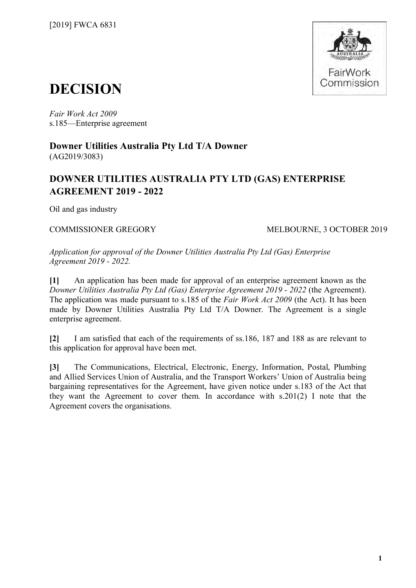

# **DECISION**

*Fair Work Act 2009*  s.185—Enterprise agreement

**Downer Utilities Australia Pty Ltd T/A Downer** (AG2019/3083)

# **DOWNER UTILITIES AUSTRALIA PTY LTD (GAS) ENTERPRISE AGREEMENT 2019 - 2022**

Oil and gas industry

COMMISSIONER GREGORY MELBOURNE, 3 OCTOBER 2019

*Application for approval of the Downer Utilities Australia Pty Ltd (Gas) Enterprise Agreement 2019 - 2022.*

**[1]** An application has been made for approval of an enterprise agreement known as the *Downer Utilities Australia Pty Ltd (Gas) Enterprise Agreement 2019 - 2022* (the Agreement). The application was made pursuant to s.185 of the *Fair Work Act 2009* (the Act). It has been made by Downer Utilities Australia Pty Ltd T/A Downer. The Agreement is a single enterprise agreement.

**[2]** I am satisfied that each of the requirements of ss.186, 187 and 188 as are relevant to this application for approval have been met.

**[3]** The Communications, Electrical, Electronic, Energy, Information, Postal, Plumbing and Allied Services Union of Australia, and the Transport Workers' Union of Australia being bargaining representatives for the Agreement, have given notice under s.183 of the Act that they want the Agreement to cover them. In accordance with s.201(2) I note that the Agreement covers the organisations.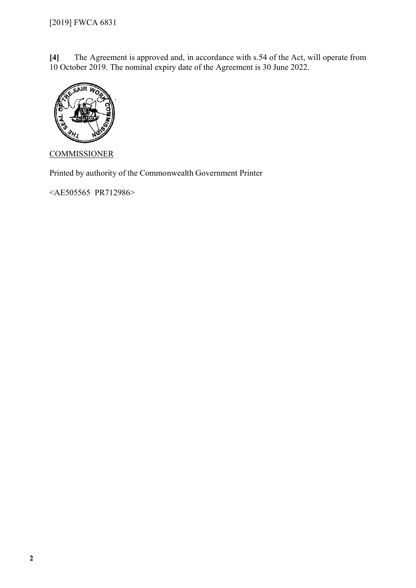**[4]** The Agreement is approved and, in accordance with s.54 of the Act, will operate from 10 October 2019. The nominal expiry date of the Agreement is 30 June 2022.



**COMMISSIONER** 

Printed by authority of the Commonwealth Government Printer

<AE505565 PR712986>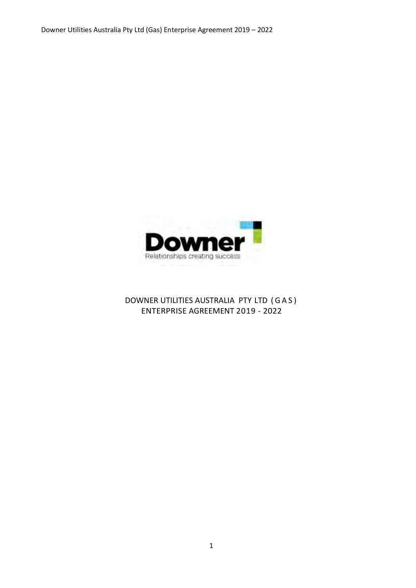

# DOWNER UTILITIES AUSTRALIA PTY LTD ( G A S ) ENTERPRISE AGREEMENT 2019 - 2022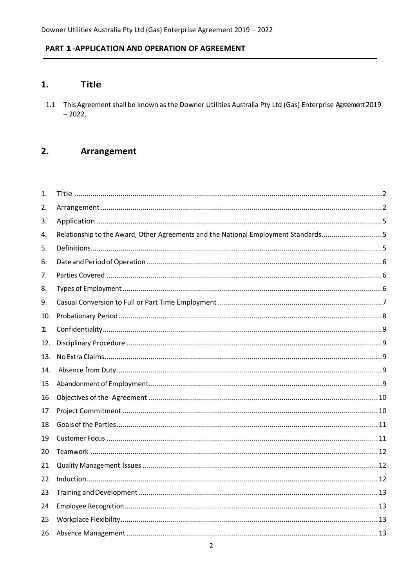### <span id="page-3-0"></span>PART 1-APPLICATION AND OPERATION OF AGREEMENT

#### $1.$ **Title**

1.1 This Agreement shall be known as the Downer Utilities Australia Pty Ltd (Gas) Enterprise Agreement 2019  $-2022.$ 

#### <span id="page-3-1"></span> $2.$ **Arrangement**

| 1.  |                                                                                    |  |
|-----|------------------------------------------------------------------------------------|--|
| 2.  |                                                                                    |  |
| 3.  |                                                                                    |  |
| 4.  | Relationship to the Award, Other Agreements and the National Employment Standards5 |  |
| 5.  |                                                                                    |  |
| 6.  |                                                                                    |  |
| 7.  |                                                                                    |  |
| 8.  |                                                                                    |  |
| 9.  |                                                                                    |  |
| 10. |                                                                                    |  |
| 11. |                                                                                    |  |
| 12. |                                                                                    |  |
| 13. |                                                                                    |  |
| 14. |                                                                                    |  |
| 15  |                                                                                    |  |
| 16  |                                                                                    |  |
| 17  |                                                                                    |  |
| 18  |                                                                                    |  |
| 19  |                                                                                    |  |
| 20  |                                                                                    |  |
| 21  |                                                                                    |  |
| 22  |                                                                                    |  |
| 23  |                                                                                    |  |
| 24  |                                                                                    |  |
| 25  |                                                                                    |  |
| 26  |                                                                                    |  |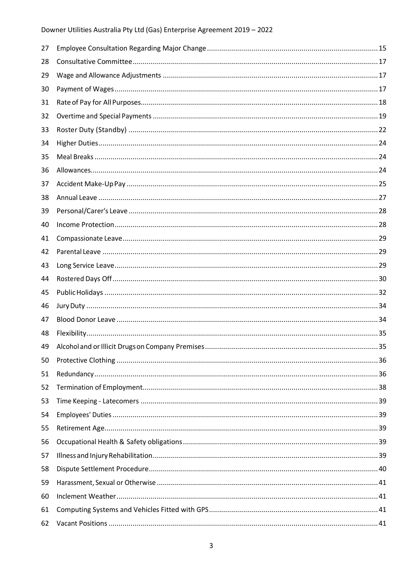| 27 |  |
|----|--|
| 28 |  |
| 29 |  |
| 30 |  |
| 31 |  |
| 32 |  |
| 33 |  |
| 34 |  |
| 35 |  |
| 36 |  |
| 37 |  |
| 38 |  |
| 39 |  |
| 40 |  |
| 41 |  |
| 42 |  |
| 43 |  |
| 44 |  |
| 45 |  |
| 46 |  |
| 47 |  |
| 48 |  |
| 49 |  |
| 50 |  |
| 51 |  |
| 52 |  |
| 53 |  |
| 54 |  |
| 55 |  |
| 56 |  |
| 57 |  |
| 58 |  |
| 59 |  |
| 60 |  |
| 61 |  |
| 62 |  |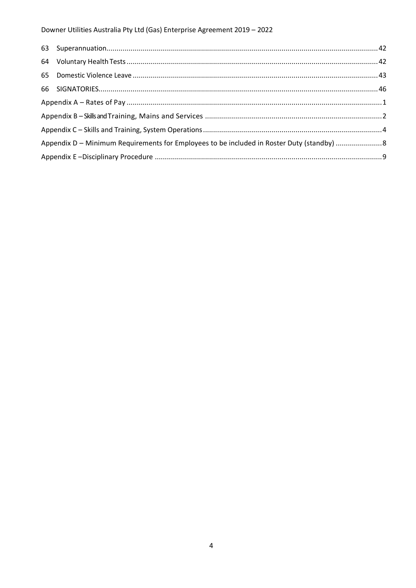| Appendix D - Minimum Requirements for Employees to be included in Roster Duty (standby) 8 |  |
|-------------------------------------------------------------------------------------------|--|
|                                                                                           |  |
|                                                                                           |  |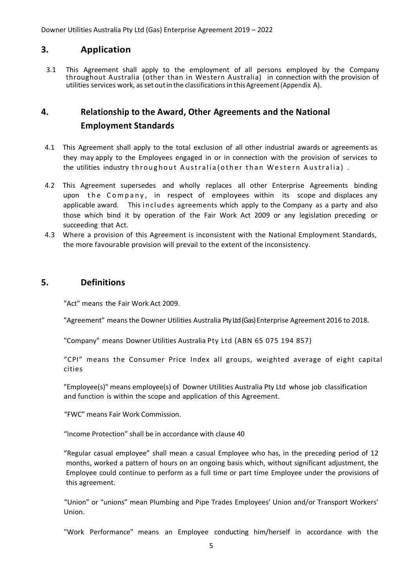# <span id="page-6-0"></span>**3. Application**

3.1 This Agreement shall apply to the employment of all persons employed by the Company throughout Australia (other than in Western Australia) in connection with the provision of utilities services work, as set out in the classifications in this Agreement (Appendix A).

# <span id="page-6-1"></span>**4. Relationship to the Award, Other Agreements and the National Employment Standards**

- 4.1 This Agreement shall apply to the total exclusion of all other industrial awards or agreements as they may apply to the Employees engaged in or in connection with the provision of services to the utilities industry throughout Australia (other than Western Australia).
- 4.2 This Agreement supersedes and wholly replaces all other Enterprise Agreements binding upon the Company, in respect of employees within its scope and displaces any applicable award. This includes agreements which apply to the Company as a party and also those which bind it by operation of the Fair Work Act 2009 or any legislation preceding or succeeding that Act.
- 4.3 Where a provision of this Agreement is inconsistent with the National Employment Standards, the more favourable provision will prevail to the extent of the inconsistency.

### **5. Definitions**

<span id="page-6-2"></span>"Act" means the Fair Work Act 2009.

"Agreement" meansthe Downer Utilities Australia PtyLtd (Gas) Enterprise Agreement 2016 to 2018.

"Company" means Downer Utilities Australia Pty Ltd (ABN 65 075 194 857)

"CPI" means the Consumer Price Index all groups, weighted average of eight capital cities

"Employee(s)" means employee(s) of Downer Utilities Australia Pty Ltd whose job classification and function is within the scope and application of this Agreement.

"FWC" means Fair Work Commission.

"Income Protection" shall be in accordance with clause 40

"Regular casual employee" shall mean a casual Employee who has, in the preceding period of 12 months, worked a pattern of hours on an ongoing basis which, without significant adjustment, the Employee could continue to perform as a full time or part time Employee under the provisions of this agreement.

"Union" or "unions" mean Plumbing and Pipe Trades Employees' Union and/or Transport Workers' Union.

"Work Performance" means an Employee conducting him/herself in accordance with the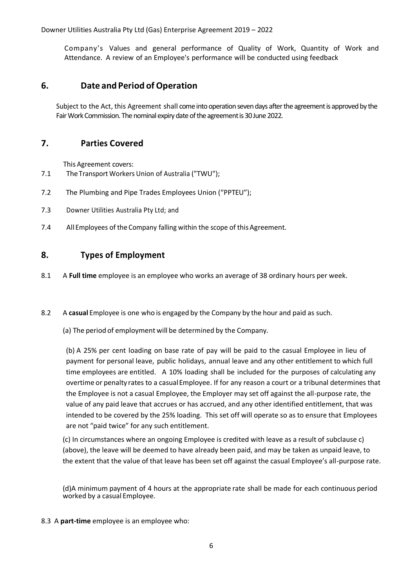Company's Values and general performance of Quality of Work, Quantity of Work and Attendance. A review of an Employee's performance will be conducted using feedback

### <span id="page-7-0"></span>**6. Date and Period of Operation**

<span id="page-7-1"></span>Subject to the Act, this Agreement shall come into operation seven days after the agreement is approved by the Fair Work Commission. The nominal expiry date of the agreement is 30 June 2022.

### **7. Parties Covered**

This Agreement covers:

- 7.1 The Transport Workers Union of Australia ("TWU");
- 7.2 The Plumbing and Pipe Trades Employees Union ("PPTEU");
- 7.3 Downer Utilities Australia Pty Ltd; and
- <span id="page-7-2"></span>7.4 All Employees of the Company falling within the scope of this Agreement.

### **8. Types of Employment**

- 8.1 A **Full time** employee is an employee who works an average of 38 ordinary hours per week.
- 8.2 A **casual** Employee is one who is engaged by the Company by the hour and paid as such.
	- (a) The period of employment will be determined by the Company.

(b) A 25% per cent loading on base rate of pay will be paid to the casual Employee in lieu of payment for personal leave, public holidays, annual leave and any other entitlement to which full time employees are entitled. A 10% loading shall be included for the purposes of calculating any overtime or penalty rates to a casualEmployee. If for any reason a court or a tribunal determines that the Employee is not a casual Employee, the Employer may set off against the all-purpose rate, the value of any paid leave that accrues or has accrued, and any other identified entitlement, that was intended to be covered by the 25% loading. This set off will operate so as to ensure that Employees are not "paid twice" for any such entitlement.

(c) In circumstances where an ongoing Employee is credited with leave as a result of subclause c) (above), the leave will be deemed to have already been paid, and may be taken as unpaid leave, to the extent that the value of that leave has been set off against the casual Employee's all-purpose rate.

(d)A minimum payment of 4 hours at the appropriate rate shall be made for each continuous period worked by a casual Employee.

8.3 A **part-time** employee is an employee who: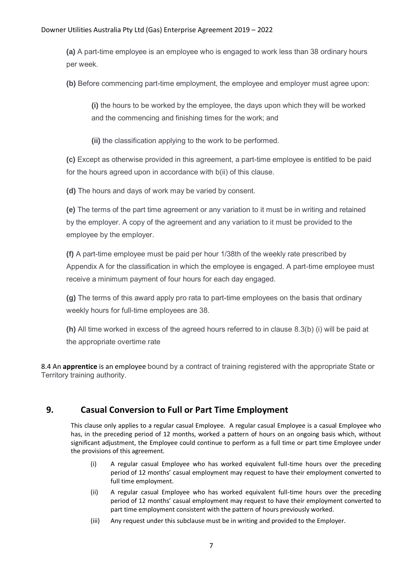**(a)** A part-time employee is an employee who is engaged to work less than 38 ordinary hours per week.

**(b)** Before commencing part-time employment, the employee and employer must agree upon:

**(i)** the hours to be worked by the employee, the days upon which they will be worked and the commencing and finishing times for the work; and

**(ii)** the classification applying to the work to be performed.

**(c)** Except as otherwise provided in this agreement, a part-time employee is entitled to be paid for the hours agreed upon in accordance with b(ii) of this clause.

**(d)** The hours and days of work may be varied by consent.

**(e)** The terms of the part time agreement or any variation to it must be in writing and retained by the employer. A copy of the agreement and any variation to it must be provided to the employee by the employer.

**(f)** A part-time employee must be paid per hour 1/38th of the weekly rate prescribed by Appendix A for the classification in which the employee is engaged. A part-time employee must receive a minimum payment of four hours for each day engaged.

**(g)** The terms of this award apply pro rata to part-time employees on the basis that ordinary weekly hours for full-time employees are 38.

**(h)** All time worked in excess of the agreed hours referred to in clause 8.3(b) (i) will be paid at the appropriate overtime rate

8.4 An **apprentice** is an employee bound by a contract of training registered with the appropriate State or Territory training authority.

# <span id="page-8-0"></span>**9. Casual Conversion to Full or Part Time Employment**

This clause only applies to a regular casual Employee. A regular casual Employee is a casual Employee who has, in the preceding period of 12 months, worked a pattern of hours on an ongoing basis which, without significant adjustment, the Employee could continue to perform as a full time or part time Employee under the provisions of this agreement.

- (i) A regular casual Employee who has worked equivalent full-time hours over the preceding period of 12 months' casual employment may request to have their employment converted to full time employment.
- (ii) A regular casual Employee who has worked equivalent full-time hours over the preceding period of 12 months' casual employment may request to have their employment converted to part time employment consistent with the pattern of hours previously worked.
- (iii) Any request under this subclause must be in writing and provided to the Employer.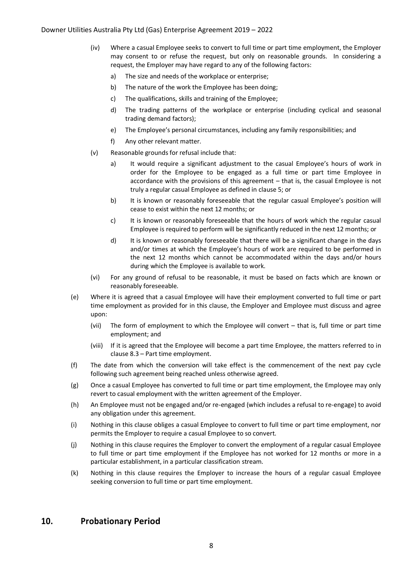- (iv) Where a casual Employee seeks to convert to full time or part time employment, the Employer may consent to or refuse the request, but only on reasonable grounds. In considering a request, the Employer may have regard to any of the following factors:
	- a) The size and needs of the workplace or enterprise;
	- b) The nature of the work the Employee has been doing;
	- c) The qualifications, skills and training of the Employee;
	- d) The trading patterns of the workplace or enterprise (including cyclical and seasonal trading demand factors);
	- e) The Employee's personal circumstances, including any family responsibilities; and
	- f) Any other relevant matter.
- (v) Reasonable grounds for refusal include that:
	- a) It would require a significant adjustment to the casual Employee's hours of work in order for the Employee to be engaged as a full time or part time Employee in accordance with the provisions of this agreement – that is, the casual Employee is not truly a regular casual Employee as defined in clause 5; or
	- b) It is known or reasonably foreseeable that the regular casual Employee's position will cease to exist within the next 12 months; or
	- c) It is known or reasonably foreseeable that the hours of work which the regular casual Employee is required to perform will be significantly reduced in the next 12 months; or
	- d) It is known or reasonably foreseeable that there will be a significant change in the days and/or times at which the Employee's hours of work are required to be performed in the next 12 months which cannot be accommodated within the days and/or hours during which the Employee is available to work.
- (vi) For any ground of refusal to be reasonable, it must be based on facts which are known or reasonably foreseeable.
- (e) Where it is agreed that a casual Employee will have their employment converted to full time or part time employment as provided for in this clause, the Employer and Employee must discuss and agree upon:
	- (vii) The form of employment to which the Employee will convert that is, full time or part time employment; and
	- (viii) If it is agreed that the Employee will become a part time Employee, the matters referred to in clause 8.3 – Part time employment.
- (f) The date from which the conversion will take effect is the commencement of the next pay cycle following such agreement being reached unless otherwise agreed.
- (g) Once a casual Employee has converted to full time or part time employment, the Employee may only revert to casual employment with the written agreement of the Employer.
- (h) An Employee must not be engaged and/or re-engaged (which includes a refusal to re-engage) to avoid any obligation under this agreement.
- (i) Nothing in this clause obliges a casual Employee to convert to full time or part time employment, nor permits the Employer to require a casual Employee to so convert.
- (j) Nothing in this clause requires the Employer to convert the employment of a regular casual Employee to full time or part time employment if the Employee has not worked for 12 months or more in a particular establishment, in a particular classification stream.
- (k) Nothing in this clause requires the Employer to increase the hours of a regular casual Employee seeking conversion to full time or part time employment.

### <span id="page-9-0"></span>**10. Probationary Period**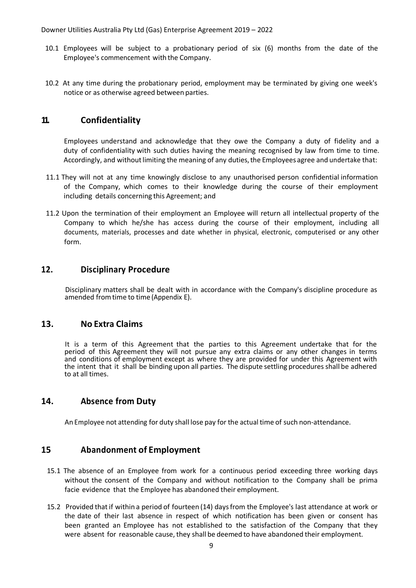- 10.1 Employees will be subject to a probationary period of six (6) months from the date of the Employee's commencement with the Company.
- 10.2 At any time during the probationary period, employment may be terminated by giving one week's notice or as otherwise agreed between parties.

# <span id="page-10-0"></span>**11. Confidentiality**

Employees understand and acknowledge that they owe the Company a duty of fidelity and a duty of confidentiality with such duties having the meaning recognised by law from time to time. Accordingly, and without limiting the meaning of any duties, the Employees agree and undertake that:

- 11.1 They will not at any time knowingly disclose to any unauthorised person confidential information of the Company, which comes to their knowledge during the course of their employment including details concerning this Agreement; and
- 11.2 Upon the termination of their employment an Employee will return all intellectual property of the Company to which he/she has access during the course of their employment, including all documents, materials, processes and date whether in physical, electronic, computerised or any other form.

### <span id="page-10-1"></span>**12. Disciplinary Procedure**

Disciplinary matters shall be dealt with in accordance with the Company's discipline procedure as amended fromtime to time (Appendix E).

### <span id="page-10-2"></span>**13. No Extra Claims**

It is a term of this Agreement that the parties to this Agreement undertake that for the period of this Agreement they will not pursue any extra claims or any other changes in terms and conditions of employment except as where they are provided for under this Agreement with the intent that it shall be binding upon all parties. The dispute settling procedures shall be adhered to at all times.

### <span id="page-10-3"></span>**14. Absence from Duty**

An Employee not attending for duty shall lose pay for the actual time of such non-attendance.

### <span id="page-10-4"></span>**15 Abandonment of Employment**

- 15.1 The absence of an Employee from work for a continuous period exceeding three working days without the consent of the Company and without notification to the Company shall be prima facie evidence that the Employee has abandoned their employment.
- 15.2 Provided thatif within a period of fourteen (14) daysfrom the Employee's last attendance at work or the date of their last absence in respect of which notification has been given or consent has been granted an Employee has not established to the satisfaction of the Company that they were absent for reasonable cause, they shall be deemed to have abandoned their employment.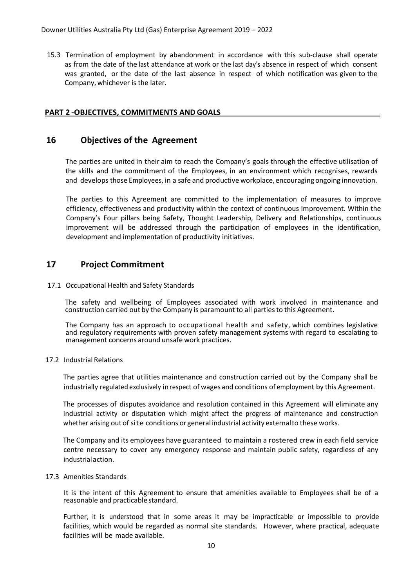15.3 Termination of employment by abandonment in accordance with this sub-clause shall operate as from the date of the last attendance at work or the last day's absence in respect of which consent was granted, or the date of the last absence in respect of which notification was given to the Company, whichever is the later.

### <span id="page-11-0"></span>**PART 2 -OBJECTIVES, COMMITMENTS AND GOALS**

### **16 Objectives of the Agreement**

The parties are united in their aim to reach the Company's goals through the effective utilisation of the skills and the commitment of the Employees, in an environment which recognises, rewards and develops those Employees, in a safe and productive workplace, encouraging ongoing innovation.

The parties to this Agreement are committed to the implementation of measures to improve efficiency, effectiveness and productivity within the context of continuous improvement. Within the Company's Four pillars being Safety, Thought Leadership, Delivery and Relationships, continuous improvement will be addressed through the participation of employees in the identification, development and implementation of productivity initiatives.

### <span id="page-11-1"></span>**17 Project Commitment**

#### 17.1 Occupational Health and Safety Standards

The safety and wellbeing of Employees associated with work involved in maintenance and construction carried out by the Company is paramount to all parties to this Agreement.

The Company has an approach to occupational health and safety, which combines legislative and regulatory requirements with proven safety management systems with regard to escalating to management concerns around unsafe work practices.

#### 17.2 Industrial Relations

The parties agree that utilities maintenance and construction carried out by the Company shall be industrially regulated exclusively inrespect of wages and conditions of employment by this Agreement.

The processes of disputes avoidance and resolution contained in this Agreement will eliminate any industrial activity or disputation which might affect the progress of maintenance and construction whether arising out of site conditions or general industrial activity externalto these works.

The Company and its employees have guaranteed to maintain a rostered crew in each field service centre necessary to cover any emergency response and maintain public safety, regardless of any industrialaction.

#### 17.3 Amenities Standards

It is the intent of this Agreement to ensure that amenities available to Employees shall be of a reasonable and practicable standard.

Further, it is understood that in some areas it may be impracticable or impossible to provide facilities, which would be regarded as normal site standards. However, where practical, adequate facilities will be made available.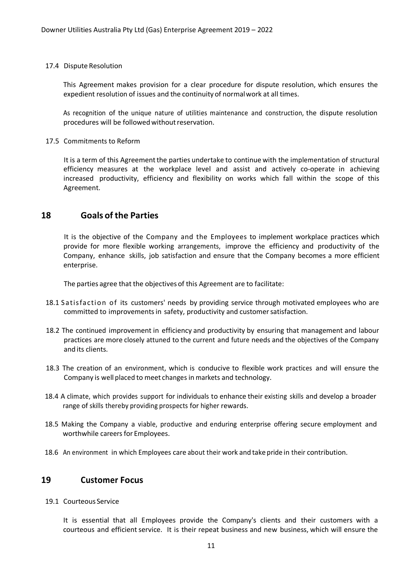#### 17.4 Dispute Resolution

This Agreement makes provision for a clear procedure for dispute resolution, which ensures the expedient resolution of issues and the continuity of normalwork at all times.

As recognition of the unique nature of utilities maintenance and construction, the dispute resolution procedures will be followed without reservation.

#### 17.5 Commitments to Reform

It is a term of this Agreementthe parties undertake to continue with the implementation of structural efficiency measures at the workplace level and assist and actively co-operate in achieving increased productivity, efficiency and flexibility on works which fall within the scope of this Agreement.

### <span id="page-12-0"></span>**18 Goals of the Parties**

It is the objective of the Company and the Employees to implement workplace practices which provide for more flexible working arrangements, improve the efficiency and productivity of the Company, enhance skills, job satisfaction and ensure that the Company becomes a more efficient enterprise.

The parties agree that the objectives of this Agreement are to facilitate:

- 18.1 Satisfaction of its customers' needs by providing service through motivated employees who are committed to improvements in safety, productivity and customer satisfaction.
- 18.2 The continued improvement in efficiency and productivity by ensuring that management and labour practices are more closely attuned to the current and future needs and the objectives of the Company and its clients.
- 18.3 The creation of an environment, which is conducive to flexible work practices and will ensure the Company is well placed to meet changes in markets and technology.
- 18.4 A climate, which provides support for individuals to enhance their existing skills and develop a broader range of skills thereby providing prospects for higher rewards.
- 18.5 Making the Company a viable, productive and enduring enterprise offering secure employment and worthwhile careers for Employees.
- <span id="page-12-1"></span>18.6 An environment in which Employees care about their work and take pride in their contribution.

### **19 Customer Focus**

19.1 Courteous Service

It is essential that all Employees provide the Company's clients and their customers with a courteous and efficient service. It is their repeat business and new business, which will ensure the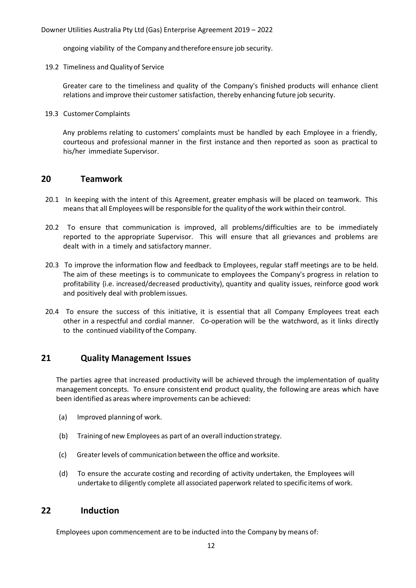ongoing viability of the Company andtherefore ensure job security.

19.2 Timeliness and Quality of Service

Greater care to the timeliness and quality of the Company's finished products will enhance client relations and improve their customer satisfaction, thereby enhancing future job security.

19.3 Customer Complaints

Any problems relating to customers' complaints must be handled by each Employee in a friendly, courteous and professional manner in the first instance and then reported as soon as practical to his/her immediate Supervisor.

### <span id="page-13-0"></span>**20 Teamwork**

- 20.1 In keeping with the intent of this Agreement, greater emphasis will be placed on teamwork. This means that all Employeeswill be responsible forthe quality of the work within their control.
- 20.2 To ensure that communication is improved, all problems/difficulties are to be immediately reported to the appropriate Supervisor. This will ensure that all grievances and problems are dealt with in a timely and satisfactory manner.
- 20.3 To improve the information flow and feedback to Employees, regular staff meetings are to be held. The aim of these meetings is to communicate to employees the Company's progress in relation to profitability {i.e. increased/decreased productivity), quantity and quality issues, reinforce good work and positively deal with problemissues.
- 20.4 To ensure the success of this initiative, it is essential that all Company Employees treat each other in a respectful and cordial manner. Co-operation will be the watchword, as it links directly to the continued viability of the Company.

### <span id="page-13-1"></span>**21 Quality Management Issues**

The parties agree that increased productivity will be achieved through the implementation of quality management concepts. To ensure consistent end product quality, the following are areas which have been identified as areas where improvements can be achieved:

- (a) Improved planning of work.
- (b) Training of new Employees as part of an overall inductionstrategy.
- (c) Greater levels of communication between the office and worksite.
- (d) To ensure the accurate costing and recording of activity undertaken, the Employees will undertake to diligently complete all associated paperwork related to specific items of work.

### <span id="page-13-2"></span>**22 Induction**

Employees upon commencement are to be inducted into the Company by means of: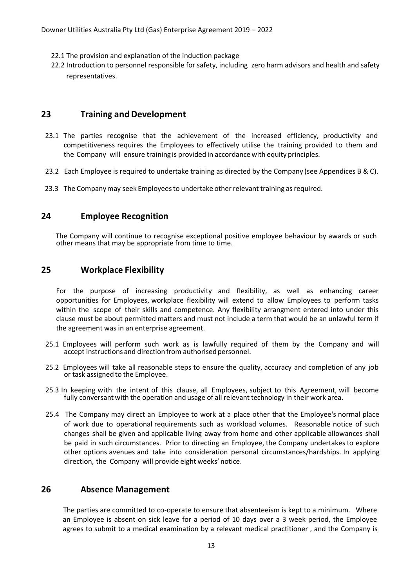- 22.1 The provision and explanation of the induction package
- 22.2 Introduction to personnel responsible for safety, including zero harm advisors and health and safety representatives.

# <span id="page-14-0"></span>**23 Training andDevelopment**

- 23.1 The parties recognise that the achievement of the increased efficiency, productivity and competitiveness requires the Employees to effectively utilise the training provided to them and the Company will ensure training is provided in accordance with equity principles.
- 23.2 Each Employee is required to undertake training as directed by the Company (see Appendices B & C).
- <span id="page-14-1"></span>23.3 The Companymay seek Employeesto undertake other relevant training asrequired.

# **24 Employee Recognition**

The Company will continue to recognise exceptional positive employee behaviour by awards or such other means that may be appropriate from time to time.

# <span id="page-14-2"></span>**25 Workplace Flexibility**

For the purpose of increasing productivity and flexibility, as well as enhancing career opportunities for Employees, workplace flexibility will extend to allow Employees to perform tasks within the scope of their skills and competence. Any flexibility arrangment entered into under this clause must be about permitted matters and must not include a term that would be an unlawful term if the agreement was in an enterprise agreement.

- 25.1 Employees will perform such work as is lawfully required of them by the Company and will accept instructions and direction from authorised personnel.
- 25.2 Employees will take all reasonable steps to ensure the quality, accuracy and completion of any job or task assigned to the Employee.
- 25.3 In keeping with the intent of this clause, all Employees, subject to this Agreement, will become fully conversant with the operation and usage of all relevant technology in their work area.
- 25.4 The Company may direct an Employee to work at a place other that the Employee's normal place of work due to operational requirements such as workload volumes. Reasonable notice of such changes shall be given and applicable living away from home and other applicable allowances shall be paid in such circumstances. Prior to directing an Employee, the Company undertakes to explore other options avenues and take into consideration personal circumstances/hardships. In applying direction, the Company will provide eight weeks' notice.

# <span id="page-14-3"></span>**26 Absence Management**

The parties are committed to co-operate to ensure that absenteeism is kept to a minimum. Where an Employee is absent on sick leave for a period of 10 days over a 3 week period, the Employee agrees to submit to a medical examination by a relevant medical practitioner , and the Company is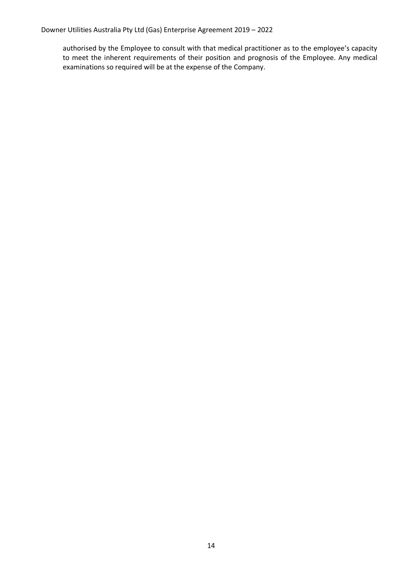authorised by the Employee to consult with that medical practitioner as to the employee's capacity to meet the inherent requirements of their position and prognosis of the Employee. Any medical examinations so required will be at the expense of the Company.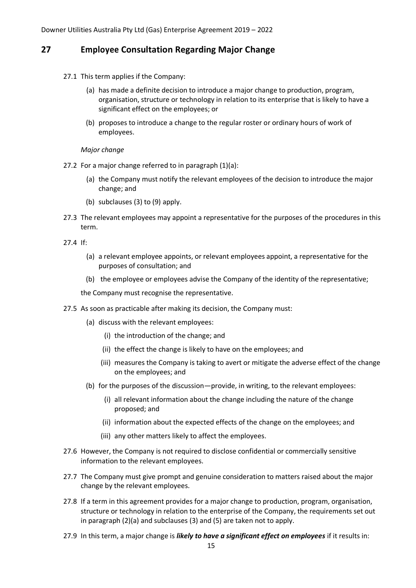### <span id="page-16-0"></span>**27 Employee Consultation Regarding Major Change**

- 27.1 This term applies if the Company:
	- (a) has made a definite decision to introduce a major change to production, program, organisation, structure or technology in relation to its enterprise that is likely to have a significant effect on the employees; or
	- (b) proposes to introduce a change to the regular roster or ordinary hours of work of employees.

#### *Major change*

- 27.2 For a major change referred to in paragraph (1)(a):
	- (a) the Company must notify the relevant employees of the decision to introduce the major change; and
	- (b) subclauses (3) to (9) apply.
- 27.3 The relevant employees may appoint a representative for the purposes of the procedures in this term.

27.4 If:

- (a) a relevant employee appoints, or relevant employees appoint, a representative for the purposes of consultation; and
- (b) the employee or employees advise the Company of the identity of the representative;

the Company must recognise the representative.

- 27.5 As soon as practicable after making its decision, the Company must:
	- (a) discuss with the relevant employees:
		- (i) the introduction of the change; and
		- (ii) the effect the change is likely to have on the employees; and
		- (iii) measures the Company is taking to avert or mitigate the adverse effect of the change on the employees; and
	- (b) for the purposes of the discussion—provide, in writing, to the relevant employees:
		- (i) all relevant information about the change including the nature of the change proposed; and
		- (ii) information about the expected effects of the change on the employees; and
		- (iii) any other matters likely to affect the employees.
- 27.6 However, the Company is not required to disclose confidential or commercially sensitive information to the relevant employees.
- 27.7 The Company must give prompt and genuine consideration to matters raised about the major change by the relevant employees.
- 27.8 If a term in this agreement provides for a major change to production, program, organisation, structure or technology in relation to the enterprise of the Company, the requirements set out in paragraph (2)(a) and subclauses (3) and (5) are taken not to apply.
- 27.9 In this term, a major change is *likely to have a significant effect on employees* if it results in: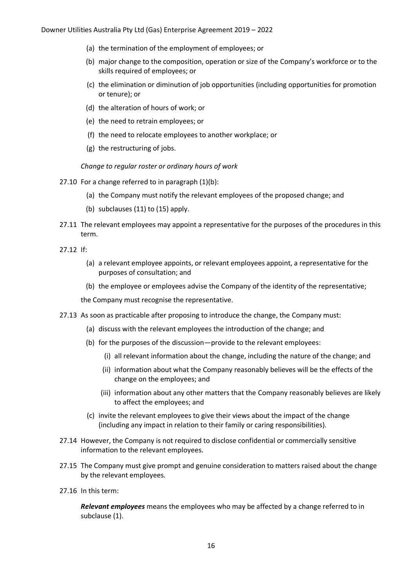- (a) the termination of the employment of employees; or
- (b) major change to the composition, operation or size of the Company's workforce or to the skills required of employees; or
- (c) the elimination or diminution of job opportunities (including opportunities for promotion or tenure); or
- (d) the alteration of hours of work; or
- (e) the need to retrain employees; or
- (f) the need to relocate employees to another workplace; or
- (g) the restructuring of jobs.

*Change to regular roster or ordinary hours of work*

- 27.10 For a change referred to in paragraph (1)(b):
	- (a) the Company must notify the relevant employees of the proposed change; and
	- (b) subclauses (11) to (15) apply.
- 27.11 The relevant employees may appoint a representative for the purposes of the procedures in this term.
- 27.12 If:
	- (a) a relevant employee appoints, or relevant employees appoint, a representative for the purposes of consultation; and
	- (b) the employee or employees advise the Company of the identity of the representative;

the Company must recognise the representative.

- 27.13 As soon as practicable after proposing to introduce the change, the Company must:
	- (a) discuss with the relevant employees the introduction of the change; and
	- (b) for the purposes of the discussion—provide to the relevant employees:
		- (i) all relevant information about the change, including the nature of the change; and
		- (ii) information about what the Company reasonably believes will be the effects of the change on the employees; and
		- (iii) information about any other matters that the Company reasonably believes are likely to affect the employees; and
	- (c) invite the relevant employees to give their views about the impact of the change (including any impact in relation to their family or caring responsibilities).
- 27.14 However, the Company is not required to disclose confidential or commercially sensitive information to the relevant employees.
- 27.15 The Company must give prompt and genuine consideration to matters raised about the change by the relevant employees.
- 27.16 In this term:

*Relevant employees* means the employees who may be affected by a change referred to in subclause (1).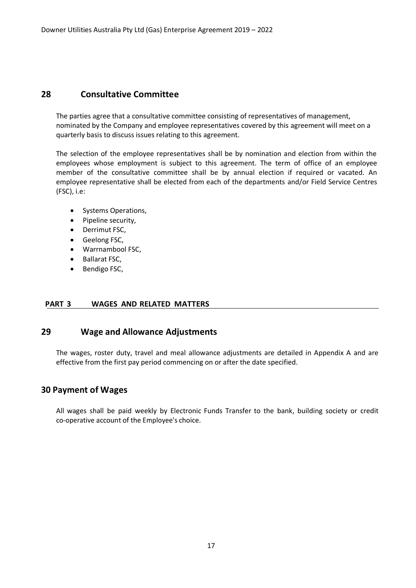### <span id="page-18-0"></span>**28 Consultative Committee**

The parties agree that a consultative committee consisting of representatives of management, nominated by the Company and employee representatives covered by this agreement will meet on a quarterly basis to discuss issues relating to this agreement.

The selection of the employee representatives shall be by nomination and election from within the employees whose employment is subject to this agreement. The term of office of an employee member of the consultative committee shall be by annual election if required or vacated. An employee representative shall be elected from each of the departments and/or Field Service Centres (FSC), i.e:

- Systems Operations,
- Pipeline security,
- Derrimut FSC,
- Geelong FSC,
- Warrnambool FSC,
- Ballarat FSC,
- Bendigo FSC,

### <span id="page-18-1"></span>**PART 3 WAGES AND RELATED MATTERS**

### **29 Wage and Allowance Adjustments**

<span id="page-18-2"></span>The wages, roster duty, travel and meal allowance adjustments are detailed in Appendix A and are effective from the first pay period commencing on or after the date specified.

### **30 Payment of Wages**

All wages shall be paid weekly by Electronic Funds Transfer to the bank, building society or credit co-operative account of the Employee's choice.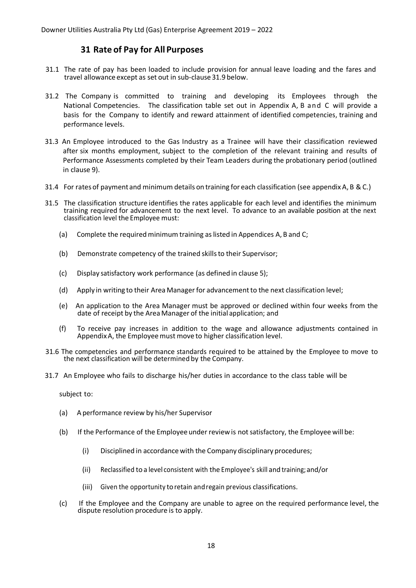### **31 Rate of Pay for All Purposes**

- <span id="page-19-0"></span>31.1 The rate of pay has been loaded to include provision for annual leave loading and the fares and travel allowance except as set out in sub-clause 31.9 below.
- 31.2 The Company is committed to training and developing its Employees through the National Competencies. The classification table set out in Appendix A, B and C will provide a basis for the Company to identify and reward attainment of identified competencies, training and performance levels.
- 31.3 An Employee introduced to the Gas Industry as a Trainee will have their classification reviewed after six months employment, subject to the completion of the relevant training and results of Performance Assessments completed by their Team Leaders during the probationary period (outlined in clause 9).
- 31.4 For rates of payment and minimum details on training for each classification (see appendix A, B &C.)
- 31.5 The classification structure identifies the rates applicable for each level and identifies the minimum training required for advancement to the next level. To advance to an available position at the next classification level the Employee must:
	- (a) Complete the required minimum training as listed in Appendices A, B and C;
	- (b) Demonstrate competency of the trained skills to their Supervisor;
	- (c) Display satisfactory work performance (as defined in clause 5);
	- (d) Apply in writing to their Area Manager for advancementto the next classification level;
	- (e) An application to the Area Manager must be approved or declined within four weeks from the date of receipt by the Area Manager of the initial application; and
	- (f) To receive pay increases in addition to the wage and allowance adjustments contained in AppendixA, the Employeemust move to higher classification level.
- 31.6 The competencies and performance standards required to be attained by the Employee to move to the next classification will be determined by the Company.
- 31.7 An Employee who fails to discharge his/her duties in accordance to the class table will be

subject to:

- (a) A performance review by his/her Supervisor
- (b) If the Performance of the Employee under reviewis notsatisfactory, the Employee will be:
	- (i) Disciplined in accordance with the Company disciplinary procedures;
	- (ii) Reclassified toa level consistent with the Employee's skill and training;and/or
	- (iii) Given the opportunity toretain andregain previous classifications.
- (c) If the Employee and the Company are unable to agree on the required performance level, the dispute resolution procedure is to apply.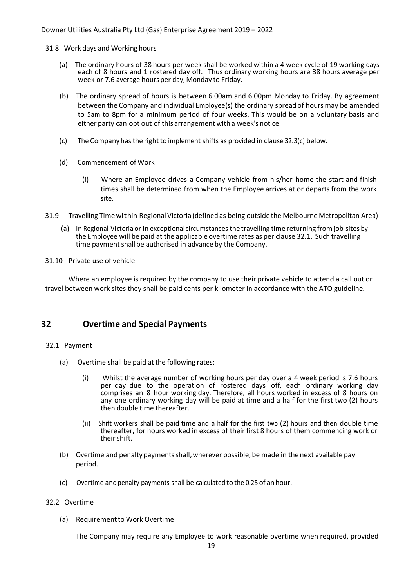31.8 Work days and Working hours

- (a) The ordinary hours of 38 hours per week shall be worked within a 4 week cycle of 19 working days each of 8 hours and 1 rostered day off. Thus ordinary working hours are 38 hours average per week or 7.6 average hours per day, Monday to Friday.
- (b) The ordinary spread of hours is between 6.00am and 6.00pm Monday to Friday. By agreement between the Company and individual Employee(s) the ordinary spread of hours may be amended to 5am to 8pm for a minimum period of four weeks. This would be on a voluntary basis and either party can opt out of this arrangement with a week's notice.
- (c) The Company has the right to implement shifts as provided in clause 32.3(c) below.
- (d) Commencement of Work
	- (i) Where an Employee drives a Company vehicle from his/her home the start and finish times shall be determined from when the Employee arrives at or departs from the work site.
- 31.9 Travelling Timewithin Regional Victoria (defined as being outside the Melbourne Metropolitan Area)
	- (a) In Regional Victoria or in exceptionalcircumstances the travelling time returning fromjob sites by the Employee will be paid at the applicable overtime rates as per clause 32.1. Such travelling time payment shall be authorised in advance by the Company.
- 31.10 Private use of vehicle

Where an employee is required by the company to use their private vehicle to attend a call out or travel between work sites they shall be paid cents per kilometer in accordance with the ATO guideline.

### <span id="page-20-0"></span>**32 Overtime and Special Payments**

- 32.1 Payment
	- (a) Overtime shall be paid at the following rates:
		- (i) Whilst the average number of working hours per day over a 4 week period is 7.6 hours per day due to the operation of rostered days off, each ordinary working day comprises an 8 hour working day. Therefore, all hours worked in excess of 8 hours on any one ordinary working day will be paid at time and a half for the first two (2) hours then double time thereafter.
		- (ii) Shift workers shall be paid time and a half for the first two (2) hours and then double time thereafter, for hours worked in excess of their first 8 hours of them commencing work or their shift.
	- (b) Overtime and penalty paymentsshall,wherever possible, be made in the next available pay period.
	- (c) Overtime andpenalty payments shall be calculated to the 0.25 of anhour.

#### 32.2 Overtime

(a) Requirementto Work Overtime

The Company may require any Employee to work reasonable overtime when required, provided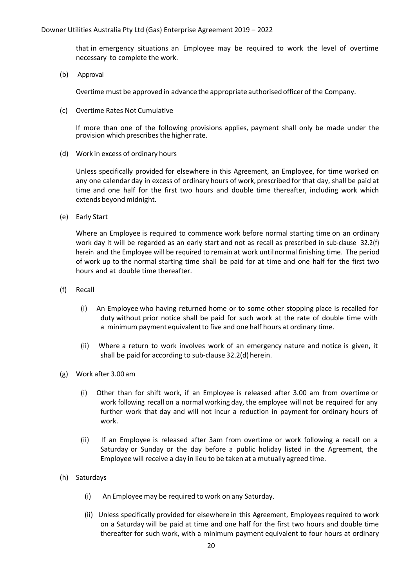that in emergency situations an Employee may be required to work the level of overtime necessary to complete the work.

(b) Approval

Overtime must be approved in advance the appropriate authorised officer of the Company.

(c) Overtime Rates Not Cumulative

If more than one of the following provisions applies, payment shall only be made under the provision which prescribes the higher rate.

(d) Work in excess of ordinary hours

Unless specifically provided for elsewhere in this Agreement, an Employee, for time worked on any one calendar day in excess of ordinary hours of work, prescribed for that day, shall be paid at time and one half for the first two hours and double time thereafter, including work which extends beyond midnight.

(e) Early Start

Where an Employee is required to commence work before normal starting time on an ordinary work day it will be regarded as an early start and not as recall as prescribed in sub-clause 32.2(f) herein and the Employee will be required to remain at work untilnormal finishing time. The period of work up to the normal starting time shall be paid for at time and one half for the first two hours and at double time thereafter.

- (f) Recall
	- (i) An Employee who having returned home or to some other stopping place is recalled for duty without prior notice shall be paid for such work at the rate of double time with a minimum payment equivalentto five and one half hours at ordinary time.
	- (ii) Where a return to work involves work of an emergency nature and notice is given, it shall be paid for according to sub-clause 32.2(d) herein.
- (g) Work after 3.00 am
	- (i) Other than for shift work, if an Employee is released after 3.00 am from overtime or work following recall on a normal working day, the employee will not be required for any further work that day and will not incur a reduction in payment for ordinary hours of work.
	- (ii) If an Employee is released after 3am from overtime or work following a recall on a Saturday or Sunday or the day before a public holiday listed in the Agreement, the Employee will receive a day in lieu to be taken at a mutually agreed time.
- (h) Saturdays
	- (i) An Employee may be required to work on any Saturday.
	- (ii) Unless specifically provided for elsewhere in this Agreement, Employees required to work on a Saturday will be paid at time and one half for the first two hours and double time thereafter for such work, with a minimum payment equivalent to four hours at ordinary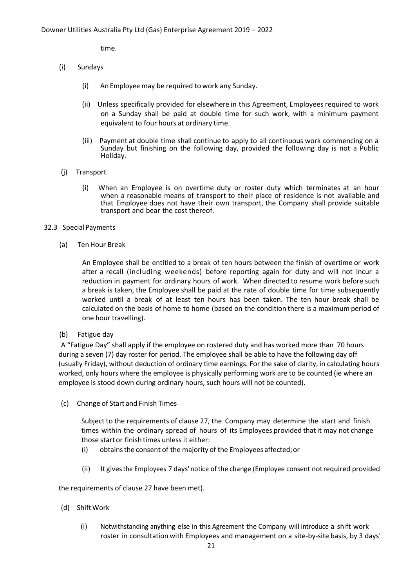time.

- (i) Sundays
	- (i) An Employee may be required to work any Sunday.
	- (ii) Unless specifically provided for elsewhere in this Agreement, Employees required to work on a Sunday shall be paid at double time for such work, with a minimum payment equivalent to four hours at ordinary time.
	- (iii) Payment at double time shall continue to apply to all continuous work commencing on a Sunday but finishing on the following day, provided the following day is not a Public Holiday.
- (j) Transport
	- (i) When an Employee is on overtime duty or roster duty which terminates at an hour when a reasonable means of transport to their place of residence is not available and that Employee does not have their own transport, the Company shall provide suitable transport and bear the cost thereof.

#### 32.3 Special Payments

(a) TenHour Break

An Employee shall be entitled to a break of ten hours between the finish of overtime or work after a recall (including weekends) before reporting again for duty and will not incur a reduction in payment for ordinary hours of work. When directed to resume work before such a break is taken, the Employee shall be paid at the rate of double time for time subsequently worked until a break of at least ten hours has been taken. The ten hour break shall be calculated on the basis of home to home (based on the condition there is a maximum period of one hour travelling).

(b) Fatigue day

A "Fatigue Day" shall apply if the employee on rostered duty and has worked more than 70 hours during a seven (7) day roster for period. The employee shall be able to have the following day off (usually Friday), without deduction of ordinary time earnings. For the sake of clarity, in calculating hours worked, only hours where the employee is physically performing work are to be counted (ie where an employee is stood down during ordinary hours, such hours will not be counted).

(c) Change of Start and Finish Times

Subject to the requirements of clause 27, the Company may determine the start and finish times within the ordinary spread of hours of its Employees provided that it may not change those startor finish times unless it either:

- (i) obtainsthe consent of the majority of the Employees affected;or
- (ii) It givesthe Employees 7 days' notice ofthe change (Employee consent notrequired provided

the requirements of clause 27 have been met).

- (d) ShiftWork
	- (i) Notwithstanding anything else in this Agreement the Company will introduce a shift work roster in consultation with Employees and management on a site-by-site basis, by 3 days'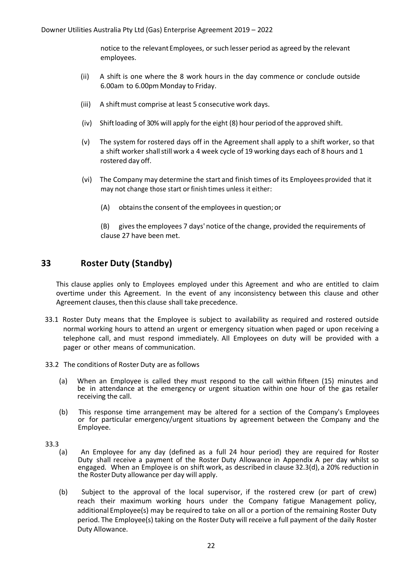notice to the relevant Employees, or such lesser period as agreed by the relevant employees.

- (ii) A shift is one where the 8 work hours in the day commence or conclude outside 6.00am to 6.00pm Monday to Friday.
- (iii) A shift must comprise at least 5 consecutive work days.
- (iv) Shift loading of 30% will apply for the eight  $(8)$  hour period of the approved shift.
- (v) The system for rostered days off in the Agreement shall apply to a shift worker, so that a shift worker shallstill work a 4 week cycle of 19 working days each of 8 hours and 1 rostered day off.
- (vi) The Company may determine the start and finish times of its Employees provided that it may not change those start or finish times unless it either:
	- (A) obtainsthe consent of the employeesin question; or

(B) givesthe employees 7 days' notice of the change, provided the requirements of clause 27 have been met.

# <span id="page-23-0"></span>**33 Roster Duty (Standby)**

This clause applies only to Employees employed under this Agreement and who are entitled to claim overtime under this Agreement. In the event of any inconsistency between this clause and other Agreement clauses, then this clause shall take precedence.

- 33.1 Roster Duty means that the Employee is subject to availability as required and rostered outside normal working hours to attend an urgent or emergency situation when paged or upon receiving a telephone call, and must respond immediately. All Employees on duty will be provided with a pager or other means of communication.
- 33.2 The conditions of Roster Duty are as follows
	- (a) When an Employee is called they must respond to the call within fifteen (15) minutes and be in attendance at the emergency or urgent situation within one hour of the gas retailer receiving the call.
	- (b) This response time arrangement may be altered for a section of the Company's Employees or for particular emergency/urgent situations by agreement between the Company and the Employee.
- 33.3
	- (a) An Employee for any day (defined as a full 24 hour period) they are required for Roster Duty shall receive a payment of the Roster Duty Allowance in Appendix A per day whilst so engaged. When an Employee is on shift work, as described in clause 32.3(d), a 20% reduction in the Roster Duty allowance per day will apply.
	- (b) Subject to the approval of the local supervisor, if the rostered crew (or part of crew) reach their maximum working hours under the Company fatigue Management policy, additional Employee(s) may be required to take on all or a portion of the remaining Roster Duty period. The Employee(s) taking on the Roster Duty will receive a full payment of the daily Roster Duty Allowance.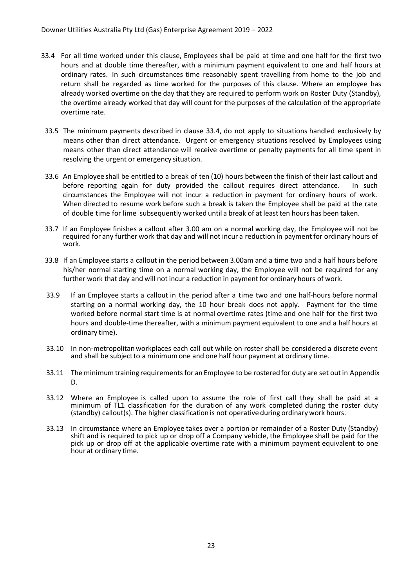- 33.4 For all time worked under this clause, Employees shall be paid at time and one half for the first two hours and at double time thereafter, with a minimum payment equivalent to one and half hours at ordinary rates. In such circumstances time reasonably spent travelling from home to the job and return shall be regarded as time worked for the purposes of this clause. Where an employee has already worked overtime on the day that they are required to perform work on Roster Duty (Standby), the overtime already worked that day will count for the purposes of the calculation of the appropriate overtime rate.
- 33.5 The minimum payments described in clause 33.4, do not apply to situations handled exclusively by means other than direct attendance. Urgent or emergency situations resolved by Employees using means other than direct attendance will receive overtime or penalty payments for all time spent in resolving the urgent or emergency situation.
- 33.6 An Employee shall be entitled to a break of ten (10) hours between the finish of their last callout and before reporting again for duty provided the callout requires direct attendance. In such circumstances the Employee will not incur a reduction in payment for ordinary hours of work. When directed to resume work before such a break is taken the Employee shall be paid at the rate of double time for lime subsequently worked until a break of at least ten hours has been taken.
- 33.7 If an Employee finishes a callout after 3.00 am on a normal working day, the Employee will not be required for any further work that day and will not incur a reduction in paymentfor ordinary hours of work.
- 33.8 If an Employee starts a callout in the period between 3.00am and a time two and a half hours before his/her normal starting time on a normal working day, the Employee will not be required for any further work that day and will not incur a reduction in payment for ordinary hours of work.
- 33.9 If an Employee starts a callout in the period after a time two and one half-hours before normal starting on a normal working day, the 10 hour break does not apply. Payment for the time worked before normal start time is at normal overtime rates (time and one half for the first two hours and double-time thereafter, with a minimum payment equivalent to one and a half hours at ordinary time).
- 33.10 In non-metropolitan workplaces each call out while on roster shall be considered a discrete event and shall be subjectto a minimum one and one half hour payment at ordinary time.
- 33.11 The minimum training requirements for an Employee to be rostered for duty are set outin Appendix D.
- 33.12 Where an Employee is called upon to assume the role of first call they shall be paid at a minimum of TL1 classification for the duration of any work completed during the roster duty (standby) callout(s). The higher classification is not operative during ordinary work hours.
- 33.13 In circumstance where an Employee takes over a portion or remainder of a Roster Duty (Standby) shift and is required to pick up or drop off a Company vehicle, the Employee shall be paid for the pick up or drop off at the applicable overtime rate with a minimum payment equivalent to one hour at ordinary time.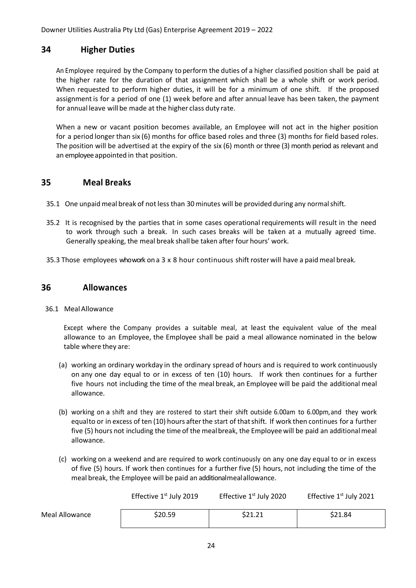### <span id="page-25-0"></span>**34 Higher Duties**

An Employee required by the Company to perform the duties of a higher classified position shall be paid at the higher rate for the duration of that assignment which shall be a whole shift or work period. When requested to perform higher duties, it will be for a minimum of one shift. If the proposed assignment is for a period of one (1) week before and after annual leave has been taken, the payment for annual leave will be made at the higher class duty rate.

When a new or vacant position becomes available, an Employee will not act in the higher position for a period longer than six (6) months for office based roles and three (3) months for field based roles. The position will be advertised at the expiry of the six (6) month or three (3) month period as relevant and an employeeappointed in that position.

### <span id="page-25-1"></span>**35 Meal Breaks**

- 35.1 One unpaidmeal break of notless than 30 minutes will be provided during any normalshift.
- 35.2 It is recognised by the parties that in some cases operational requirements will result in the need to work through such a break. In such cases breaks will be taken at a mutually agreed time. Generally speaking, the meal break shall be taken after four hours' work.
- <span id="page-25-2"></span>35.3 Those employees who work on a 3 x 8 hour continuous shift roster will have a paid meal break.

### **36 Allowances**

36.1 MealAllowance

Except where the Company provides a suitable meal, at least the equivalent value of the meal allowance to an Employee, the Employee shall be paid a meal allowance nominated in the below table where they are:

- (a) working an ordinary workday in the ordinary spread of hours and is required to work continuously on any one day equal to or in excess of ten (10) hours. If work then continues for a further five hours not including the time of the meal break, an Employee will be paid the additional meal allowance.
- (b) working on a shift and they are rostered to start their shift outside 6.00am to 6.00pm,and they work equalto or in excess of ten (10) hours afterthe start of thatshift. If work then continues for a further five (5) hours not including the time of the mealbreak, the Employeewill be paid an additionalmeal allowance.
- (c) working on a weekend and are required to work continuously on any one day equal to or in excess of five (5) hours. If work then continues for a further five (5) hours, not including the time of the meal break, the Employee will be paid an additionalmealallowance.

|                | Effective $1st$ July 2019 | Effective $1st$ July 2020 | Effective $1st$ July 2021 |
|----------------|---------------------------|---------------------------|---------------------------|
| Meal Allowance | \$20.59                   | \$21.21                   | \$21.84                   |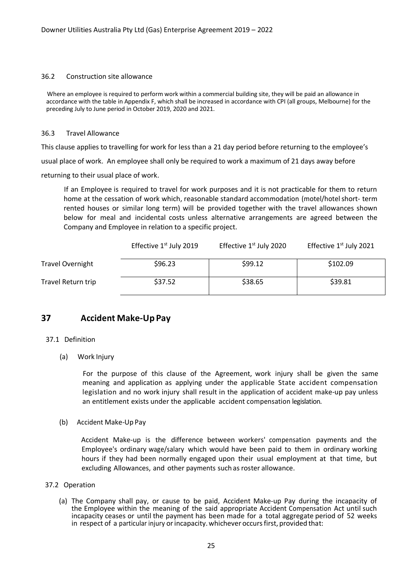#### 36.2 Construction site allowance

Where an employee is required to perform work within a commercial building site, they will be paid an allowance in accordance with the table in Appendix F, which shall be increased in accordance with CPI (all groups, Melbourne) for the preceding July to June period in October 2019, 2020 and 2021.

#### 36.3 Travel Allowance

This clause applies to travelling for work for less than a 21 day period before returning to the employee's

usual place of work. An employee shall only be required to work a maximum of 21 days away before

returning to their usual place of work.

If an Employee is required to travel for work purposes and it is not practicable for them to return home at the cessation of work which, reasonable standard accommodation (motel/hotel short- term rented houses or similar long term) will be provided together with the travel allowances shown below for meal and incidental costs unless alternative arrangements are agreed between the Company and Employee in relation to a specific project.

|                         | Effective 1 <sup>st</sup> July 2019 | Effective 1st July 2020 | Effective 1 <sup>st</sup> July 2021 |
|-------------------------|-------------------------------------|-------------------------|-------------------------------------|
| <b>Travel Overnight</b> | \$96.23                             | \$99.12                 | \$102.09                            |
| Travel Return trip      | \$37.52                             | \$38.65                 | \$39.81                             |

### <span id="page-26-0"></span>**37 Accident Make-Up Pay**

#### 37.1 Definition

(a) Work Injury

For the purpose of this clause of the Agreement, work injury shall be given the same meaning and application as applying under the applicable State accident compensation legislation and no work injury shall result in the application of accident make-up pay unless an entitlement exists under the applicable accident compensation legislation.

(b) Accident Make-Up Pay

Accident Make-up is the difference between workers' compensation payments and the Employee's ordinary wage/salary which would have been paid to them in ordinary working hours if they had been normally engaged upon their usual employment at that time, but excluding Allowances, and other payments suchas roster allowance.

#### 37.2 Operation

(a) The Company shall pay, or cause to be paid, Accident Make-up Pay during the incapacity of the Employee within the meaning of the said appropriate Accident Compensation Act until such incapacity ceases or until the payment has been made for a total aggregate period of 52 weeks in respect of a particular injury or incapacity. whichever occurs first, provided that: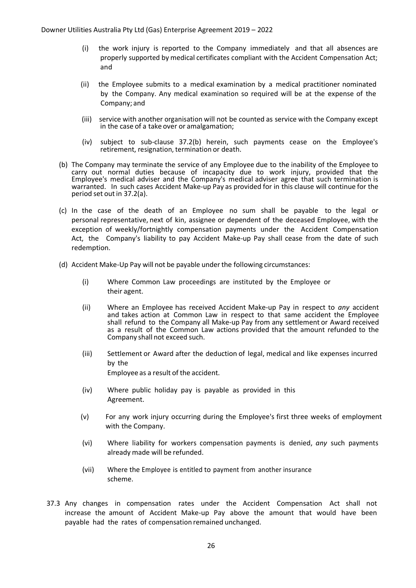- (i) the work injury is reported to the Company immediately and that all absences are properly supported by medical certificates compliant with the Accident Compensation Act; and
- (ii) the Employee submits to a medical examination by a medical practitioner nominated by the Company. Any medical examination so required will be at the expense of the Company; and
- (iii) service with another organisation will not be counted as service with the Company except in the case of a take over or amalgamation;
- (iv) subject to sub-clause 37.2(b) herein, such payments cease on the Employee's retirement, resignation, termination or death.
- (b) The Company may terminate the service of any Employee due to the inability of the Employee to carry out normal duties because of incapacity due to work injury, provided that the Employee's medical adviser and the Company's medical adviser agree that such termination is warranted. In such cases Accident Make-up Pay as provided for in this clause will continue for the period set out in 37.2(a).
- (c) In the case of the death of an Employee no sum shall be payable to the legal or personal representative, next of kin, assignee or dependent of the deceased Employee, with the exception of weekly/fortnightly compensation payments under the Accident Compensation Act, the Company's liability to pay Accident Make-up Pay shall cease from the date of such redemption.
- (d) Accident Make-Up Pay will not be payable underthe following circumstances:
	- (i) Where Common Law proceedings are instituted by the Employee or their agent.
	- (ii) Where an Employee has received Accident Make-up Pay in respect to *any* accident and takes action at Common Law in respect to that same accident the Employee shall refund to the Company all Make-up Pay from any settlement or Award received as a result of the Common Law actions provided that the amount refunded to the Company shall not exceed such.
	- (iii) Settlement or Award after the deduction of legal, medical and like expenses incurred by the Employee as a result of the accident.
	- (iv) Where public holiday pay is payable as provided in this Agreement.
	- (v) For any work injury occurring during the Employee's first three weeks of employment with the Company.
	- (vi) Where liability for workers compensation payments is denied, *any* such payments already made will be refunded.
	- (vii) Where the Employee is entitled to payment from another insurance scheme.
- 37.3 Any changes in compensation rates under the Accident Compensation Act shall not increase the amount of Accident Make-up Pay above the amount that would have been payable had the rates of compensation remained unchanged.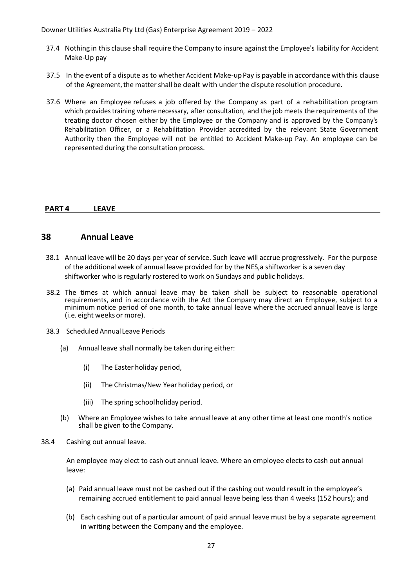- 37.4 Nothing in this clause shall require the Company to insure against the Employee's liability for Accident Make-Up pay
- 37.5 In the event of a dispute as to whether Accident Make-upPay is payable in accordance with this clause of the Agreement, the matter shall be dealt with under the dispute resolution procedure.
- 37.6 Where an Employee refuses a job offered by the Company as part of a rehabilitation program which provides training where necessary, after consultation, and the job meets the requirements of the treating doctor chosen either by the Employee or the Company and is approved by the Company's Rehabilitation Officer, or a Rehabilitation Provider accredited by the relevant State Government Authority then the Employee will not be entitled to Accident Make-up Pay. An employee can be represented during the consultation process.

#### <span id="page-28-0"></span>**PART 4 LEAVE**

### **38 Annual Leave**

- 38.1 Annual leave will be 20 days per year of service. Such leave will accrue progressively. For the purpose of the additional week of annual leave provided for by the NES,a shiftworker is a seven day shiftworker who is regularly rostered to work on Sundays and public holidays.
- 38.2 The times at which annual leave may be taken shall be subject to reasonable operational requirements, and in accordance with the Act the Company may direct an Employee, subject to a minimum notice period of one month, to take annual leave where the accrued annual leave is large (i.e. eight weeks or more).
- 38.3 ScheduledAnnual Leave Periods
	- (a) Annual leave shall normally be taken during either:
		- (i) The Easter holiday period,
		- (ii) The Christmas/New Yearholiday period, or
		- (iii) The spring schoolholiday period.
	- (b) Where an Employee wishes to take annual leave at any other time at least one month's notice shall be given to the Company.
- 38.4 Cashing out annual leave.

An employee may elect to cash out annual leave. Where an employee elects to cash out annual leave:

- (a) Paid annual leave must not be cashed out if the cashing out would result in the employee's remaining accrued entitlement to paid annual leave being less than 4 weeks (152 hours); and
- (b) Each cashing out of a particular amount of paid annual leave must be by a separate agreement in writing between the Company and the employee.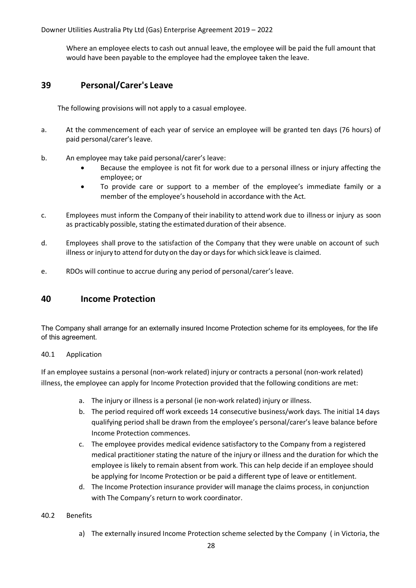Where an employee elects to cash out annual leave, the employee will be paid the full amount that would have been payable to the employee had the employee taken the leave.

### <span id="page-29-0"></span>**39 Personal/Carer's Leave**

The following provisions will not apply to a casual employee.

- a. At the commencement of each year of service an employee will be granted ten days (76 hours) of paid personal/carer's leave.
- b. An employee may take paid personal/carer's leave:
	- Because the employee is not fit for work due to a personal illness or injury affecting the employee; or
	- To provide care or support to a member of the employee's immediate family or a member of the employee's household in accordance with the Act.
- c. Employees must inform the Company of their inability to attend work due to illness or injury as soon as practicably possible, stating the estimated duration of their absence.
- d. Employees shall prove to the satisfaction of the Company that they were unable on account of such illness or injury to attend for duty on the day or daysfor which sick leave is claimed.
- <span id="page-29-1"></span>e. RDOs will continue to accrue during any period of personal/carer's leave.

### **40 Income Protection**

The Company shall arrange for an externally insured Income Protection scheme for its employees, for the life of this agreement.

### 40.1 Application

If an employee sustains a personal (non-work related) injury or contracts a personal (non-work related) illness, the employee can apply for Income Protection provided that the following conditions are met:

- a. The injury or illness is a personal (ie non-work related) injury or illness.
- b. The period required off work exceeds 14 consecutive business/work days. The initial 14 days qualifying period shall be drawn from the employee's personal/carer's leave balance before Income Protection commences.
- c. The employee provides medical evidence satisfactory to the Company from a registered medical practitioner stating the nature of the injury or illness and the duration for which the employee is likely to remain absent from work. This can help decide if an employee should be applying for Income Protection or be paid a different type of leave or entitlement.
- d. The Income Protection insurance provider will manage the claims process, in conjunction with The Company's return to work coordinator.
- 40.2 Benefits
	- a) The externally insured Income Protection scheme selected by the Company ( in Victoria, the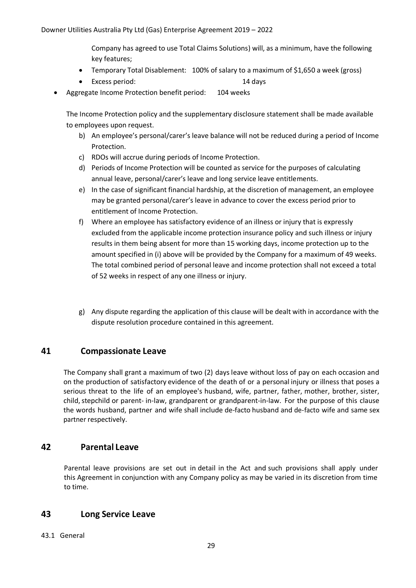Company has agreed to use Total Claims Solutions) will, as a minimum, have the following key features;

- Temporary Total Disablement: 100% of salary to a maximum of \$1,650 a week (gross)
- Excess period: 14 days
- Aggregate Income Protection benefit period: 104 weeks

The Income Protection policy and the supplementary disclosure statement shall be made available to employees upon request.

- b) An employee's personal/carer's leave balance will not be reduced during a period of Income Protection.
- c) RDOs will accrue during periods of Income Protection.
- d) Periods of Income Protection will be counted as service for the purposes of calculating annual leave, personal/carer's leave and long service leave entitlements.
- e) In the case of significant financial hardship, at the discretion of management, an employee may be granted personal/carer's leave in advance to cover the excess period prior to entitlement of Income Protection.
- f) Where an employee has satisfactory evidence of an illness or injury that is expressly excluded from the applicable income protection insurance policy and such illness or injury results in them being absent for more than 15 working days, income protection up to the amount specified in (i) above will be provided by the Company for a maximum of 49 weeks. The total combined period of personal leave and income protection shall not exceed a total of 52 weeks in respect of any one illness or injury.
- g) Any dispute regarding the application of this clause will be dealt with in accordance with the dispute resolution procedure contained in this agreement.

# <span id="page-30-0"></span>**41 Compassionate Leave**

The Company shall grant a maximum of two (2) days leave without loss of pay on each occasion and on the production of satisfactory evidence of the death of or a personal injury or illness that poses a serious threat to the life of an employee's husband, wife, partner, father, mother, brother, sister, child, stepchild or parent- in-law, grandparent or grandparent-in-law. For the purpose of this clause the words husband, partner and wife shall include de-facto husband and de-facto wife and same sex partner respectively.

# <span id="page-30-1"></span>**42 Parental Leave**

Parental leave provisions are set out in detail in the Act and such provisions shall apply under this Agreement in conjunction with any Company policy as may be varied in its discretion from time to time.

# <span id="page-30-2"></span>**43 Long Service Leave**

43.1 General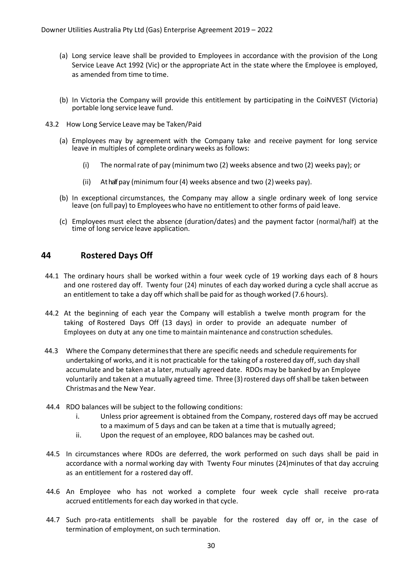- (a) Long service leave shall be provided to Employees in accordance with the provision of the Long Service Leave Act 1992 (Vic) or the appropriate Act in the state where the Employee is employed, as amended from time to time.
- (b) In Victoria the Company will provide this entitlement by participating in the CoiNVEST (Victoria) portable long service leave fund.
- 43.2 How Long Service Leave may be Taken/Paid
	- (a) Employees may by agreement with the Company take and receive payment for long service leave in multiples of complete ordinary weeks as follows:
		- (i) The normal rate of pay (minimum two (2) weeks absence and two (2) weeks pay); or
		- (ii) At halfpay (minimum four  $(4)$  weeks absence and two  $(2)$  weeks pay).
	- (b) In exceptional circumstances, the Company may allow a single ordinary week of long service leave (on full pay) to Employeeswho have no entitlement to other forms of paid leave.
	- (c) Employees must elect the absence (duration/dates) and the payment factor (normal/half) at the time of long service leave application.

### <span id="page-31-0"></span>**44 Rostered Days Off**

- 44.1 The ordinary hours shall be worked within a four week cycle of 19 working days each of 8 hours and one rostered day off. Twenty four (24) minutes of each day worked during a cycle shall accrue as an entitlement to take a day off which shall be paid for as though worked (7.6 hours).
- 44.2 At the beginning of each year the Company will establish a twelve month program for the taking of Rostered Days Off (13 days) in order to provide an adequate number of Employees on duty at any one time to maintain maintenance and construction schedules.
- 44.3 Where the Company determinesthat there are specific needs and schedule requirements for undertaking of works, and it is not practicable for the taking of a rostered day off, such day shall accumulate and be taken at a later, mutually agreed date. RDOs may be banked by an Employee voluntarily and taken at a mutually agreed time. Three (3) rostered days off shall be taken between Christmas and the New Year.
- 44.4 RDO balances will be subject to the following conditions:
	- i. Unless prior agreement is obtained from the Company, rostered days off may be accrued to a maximum of 5 days and can be taken at a time that is mutually agreed;
	- ii. Upon the request of an employee, RDO balances may be cashed out.
- 44.5 In circumstances where RDOs are deferred, the work performed on such days shall be paid in accordance with a normal working day with Twenty Four minutes (24)minutes of that day accruing as an entitlement for a rostered day off.
- 44.6 An Employee who has not worked a complete four week cycle shall receive pro-rata accrued entitlements for each day worked in that cycle.
- 44.7 Such pro-rata entitlements shall be payable for the rostered day off or, in the case of termination of employment, on such termination.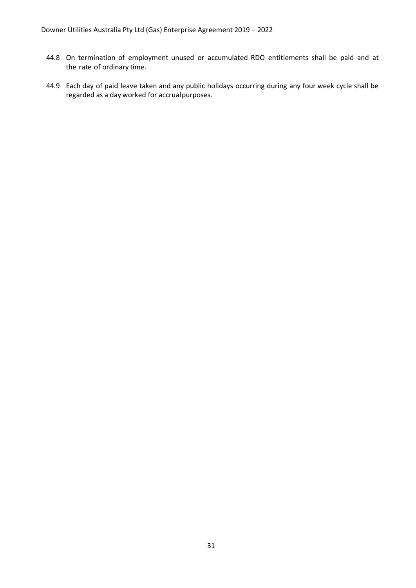- 44.8 On termination of employment unused or accumulated RDO entitlements shall be paid and at the rate of ordinary time.
- 44.9 Each day of paid leave taken and any public holidays occurring during any four week cycle shall be regarded as a day worked for accrualpurposes.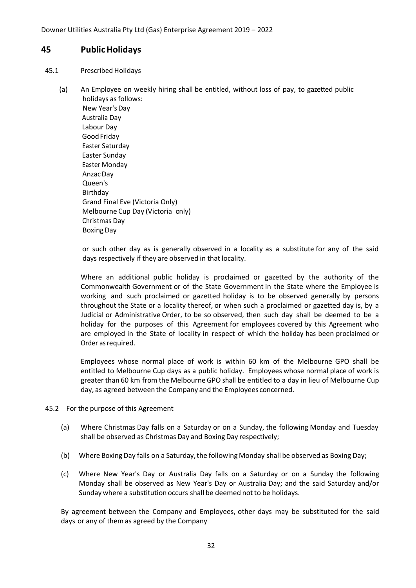### <span id="page-33-0"></span>**45 PublicHolidays**

#### 45.1 Prescribed Holidays

(a) An Employee on weekly hiring shall be entitled, without loss of pay, to gazetted public holidays as follows:

New Year's Day Australia Day Labour Day Good Friday Easter Saturday Easter Sunday Easter Monday AnzacDay Queen's Birthday Grand Final Eve (Victoria Only) Melbourne Cup Day (Victoria only) Christmas Day BoxingDay

or such other day as is generally observed in a locality as a substitute for any of the said days respectively if they are observed in that locality.

Where an additional public holiday is proclaimed or gazetted by the authority of the Commonwealth Government or of the State Government in the State where the Employee is working and such proclaimed or gazetted holiday is to be observed generally by persons throughout the State or a locality thereof, or when such a proclaimed or gazetted day is, by a Judicial or Administrative Order, to be so observed, then such day shall be deemed to be a holiday for the purposes of this Agreement for employees covered by this Agreement who are employed in the State of locality in respect of which the holiday has been proclaimed or Order asrequired.

Employees whose normal place of work is within 60 km of the Melbourne GPO shall be entitled to Melbourne Cup days as a public holiday. Employees whose normal place of work is greater than 60 km from the MelbourneGPO shall be entitled to a day in lieu of Melbourne Cup day, as agreed between the Company and the Employees concerned.

- 45.2 For the purpose of this Agreement
	- (a) Where Christmas Day falls on a Saturday or on a Sunday, the following Monday and Tuesday shall be observed as Christmas Day and Boxing Day respectively;
	- (b) Where Boxing Day falls on a Saturday, the following Monday shall be observed as Boxing Day;
	- (c) Where New Year's Day or Australia Day falls on a Saturday or on a Sunday the following Monday shall be observed as New Year's Day or Australia Day; and the said Saturday and/or Sunday where a substitution occurs shall be deemed not to be holidays.

By agreement between the Company and Employees, other days may be substituted for the said days or any of themas agreed by the Company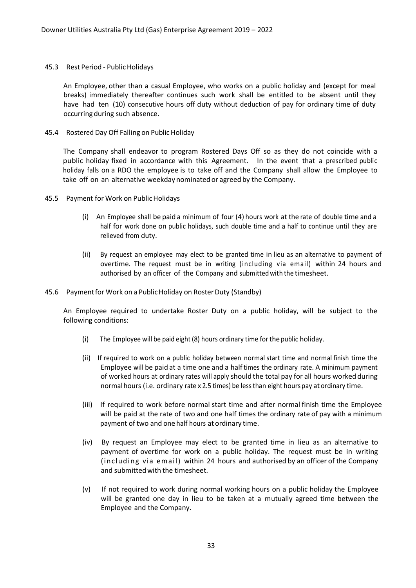#### 45.3 Rest Period - Public Holidays

An Employee, other than a casual Employee, who works on a public holiday and (except for meal breaks) immediately thereafter continues such work shall be entitled to be absent until they have had ten (10) consecutive hours off duty without deduction of pay for ordinary time of duty occurring during such absence.

45.4 Rostered Day Off Falling on Public Holiday

The Company shall endeavor to program Rostered Days Off so as they do not coincide with a public holiday fixed in accordance with this Agreement. In the event that a prescribed public holiday falls on a RDO the employee is to take off and the Company shall allow the Employee to take off on an alternative weekday nominated or agreed by the Company.

- 45.5 Payment for Work on Public Holidays
	- (i) An Employee shall be paid a minimum of four (4) hours work at the rate of double time and a half for work done on public holidays, such double time and a half to continue until they are relieved from duty.
	- (ii) By request an employee may elect to be granted time in lieu as an alternative to payment of overtime. The request must be in writing (including via email) within 24 hours and authorised by an officer of the Company and submitted with the timesheet.
- 45.6 Payment for Work on a Public Holiday on Roster Duty (Standby)

An Employee required to undertake Roster Duty on a public holiday, will be subject to the following conditions:

- (i) The Employee will be paid eight (8) hours ordinary time for the public holiday.
- (ii) If required to work on a public holiday between normal start time and normal finish time the Employee will be paid at a time one and a halftimes the ordinary rate. A minimum payment of worked hours at ordinary rates will apply should the total pay for all hours worked during normalhours (i.e. ordinary rate x 2.5 times) be lessthan eight hours pay at ordinary time.
- (iii) If required to work before normal start time and after normal finish time the Employee will be paid at the rate of two and one half times the ordinary rate of pay with a minimum payment of two and one half hours at ordinary time.
- (iv) By request an Employee may elect to be granted time in lieu as an alternative to payment of overtime for work on a public holiday. The request must be in writing (including via email) within 24 hours and authorised by an officer of the Company and submitted with the timesheet.
- (v) If not required to work during normal working hours on a public holiday the Employee will be granted one day in lieu to be taken at a mutually agreed time between the Employee and the Company.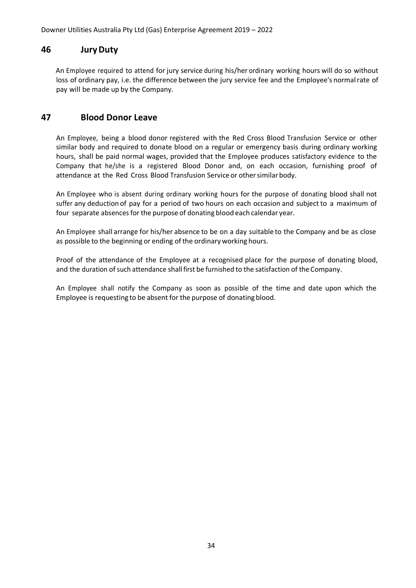### <span id="page-35-0"></span>**46 JuryDuty**

An Employee required to attend for jury service during his/her ordinary working hours will do so without loss of ordinary pay, i.e. the difference between the jury service fee and the Employee's normalrate of pay will be made up by the Company.

### <span id="page-35-1"></span>**47 Blood Donor Leave**

An Employee, being a blood donor registered with the Red Cross Blood Transfusion Service or other similar body and required to donate blood on a regular or emergency basis during ordinary working hours, shall be paid normal wages, provided that the Employee produces satisfactory evidence to the Company that he/she is a registered Blood Donor and, on each occasion, furnishing proof of attendance at the Red Cross Blood Transfusion Service or other similar body.

An Employee who is absent during ordinary working hours for the purpose of donating blood shall not suffer any deduction of pay for a period of two hours on each occasion and subject to a maximum of four separate absences for the purpose of donating blood each calendar year.

An Employee shall arrange for his/her absence to be on a day suitable to the Company and be as close as possible to the beginning or ending of the ordinary working hours.

Proof of the attendance of the Employee at a recognised place for the purpose of donating blood, and the duration of such attendance shall first be furnished to the satisfaction of the Company.

An Employee shall notify the Company as soon as possible of the time and date upon which the Employee is requesting to be absent for the purpose of donating blood.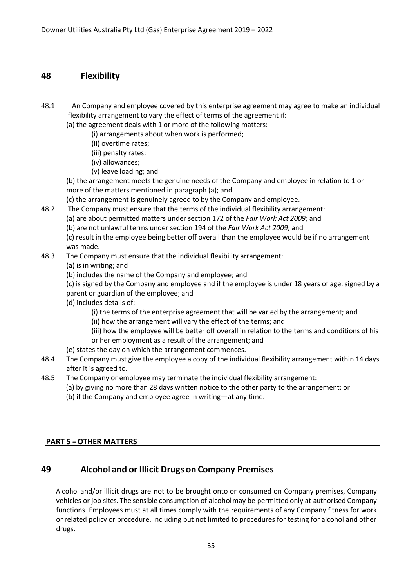### <span id="page-36-0"></span>**48 Flexibility**

48.1 An Company and employee covered by this enterprise agreement may agree to make an individual flexibility arrangement to vary the effect of terms of the agreement if:

(a) the agreement deals with 1 or more of the following matters:

- (i) arrangements about when work is performed;
- (ii) overtime rates;
- (iii) penalty rates;
- (iv) allowances;
- (v) leave loading; and

(b) the arrangement meets the genuine needs of the Company and employee in relation to 1 or more of the matters mentioned in paragraph (a); and

(c) the arrangement is genuinely agreed to by the Company and employee.

- 48.2 The Company must ensure that the terms of the individual flexibility arrangement:
	- (a) are about permitted matters under section 172 of the *Fair Work Act 2009*; and

(b) are not unlawful terms under section 194 of the *Fair Work Act 2009*; and

(c) result in the employee being better off overall than the employee would be if no arrangement was made.

### 48.3 The Company must ensure that the individual flexibility arrangement:

- (a) is in writing; and
- (b) includes the name of the Company and employee; and
- (c) is signed by the Company and employee and if the employee is under 18 years of age, signed by a parent or guardian of the employee; and
- (d) includes details of:
	- (i) the terms of the enterprise agreement that will be varied by the arrangement; and
	- (ii) how the arrangement will vary the effect of the terms; and
	- (iii) how the employee will be better off overall in relation to the terms and conditions of his
	- or her employment as a result of the arrangement; and
- (e) states the day on which the arrangement commences.
- 48.4 The Company must give the employee a copy of the individual flexibility arrangement within 14 days after it is agreed to.
- 48.5 The Company or employee may terminate the individual flexibility arrangement:
	- (a) by giving no more than 28 days written notice to the other party to the arrangement; or (b) if the Company and employee agree in writing—at any time.

### <span id="page-36-1"></span>**PART <sup>5</sup> -OTHER MATTERS**

# **49 Alcohol and or Illicit Drugs on Company Premises**

Alcohol and/or illicit drugs are not to be brought onto or consumed on Company premises, Company vehicles or job sites. The sensible consumption of alcoholmay be permitted only at authorised Company functions. Employees must at all times comply with the requirements of any Company fitness for work or related policy or procedure, including but not limited to procedures for testing for alcohol and other drugs.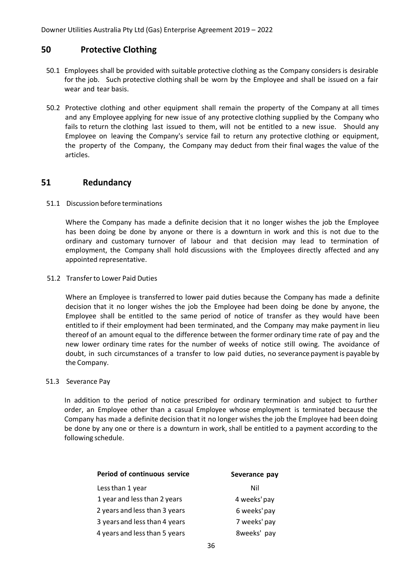### <span id="page-37-0"></span>**50 Protective Clothing**

- 50.1 Employees shall be provided with suitable protective clothing as the Company considers is desirable for the job. Such protective clothing shall be worn by the Employee and shall be issued on a fair wear and tear basis.
- 50.2 Protective clothing and other equipment shall remain the property of the Company at all times and any Employee applying for new issue of any protective clothing supplied by the Company who fails to return the clothing last issued to them, will not be entitled to a new issue. Should any Employee on leaving the Company's service fail to return any protective clothing or equipment, the property of the Company, the Company may deduct from their final wages the value of the articles.

### <span id="page-37-1"></span>**51 Redundancy**

#### 51.1 Discussion before terminations

Where the Company has made a definite decision that it no longer wishes the job the Employee has been doing be done by anyone or there is a downturn in work and this is not due to the ordinary and customary turnover of labour and that decision may lead to termination of employment, the Company shall hold discussions with the Employees directly affected and any appointed representative.

#### 51.2 Transferto Lower Paid Duties

Where an Employee is transferred to lower paid duties because the Company has made a definite decision that it no longer wishes the job the Employee had been doing be done by anyone, the Employee shall be entitled to the same period of notice of transfer as they would have been entitled to if their employment had been terminated, and the Company may make payment in lieu thereof of an amount equal to the difference between the former ordinary time rate of pay and the new lower ordinary time rates for the number of weeks of notice still owing. The avoidance of doubt, in such circumstances of a transfer to low paid duties, no severance paymentis payable by the Company.

#### 51.3 Severance Pay

In addition to the period of notice prescribed for ordinary termination and subject to further order, an Employee other than a casual Employee whose employment is terminated because the Company has made a definite decision that it no longer wishes the job the Employee had been doing be done by any one or there is a downturn in work, shall be entitled to a payment according to the following schedule.

| Period of continuous service  | Severance pay |
|-------------------------------|---------------|
| Less than 1 year              | Nil           |
| 1 year and less than 2 years  | 4 weeks' pay  |
| 2 years and less than 3 years | 6 weeks' pay  |
| 3 years and less than 4 years | 7 weeks' pay  |
| 4 years and less than 5 years | 8weeks' pay   |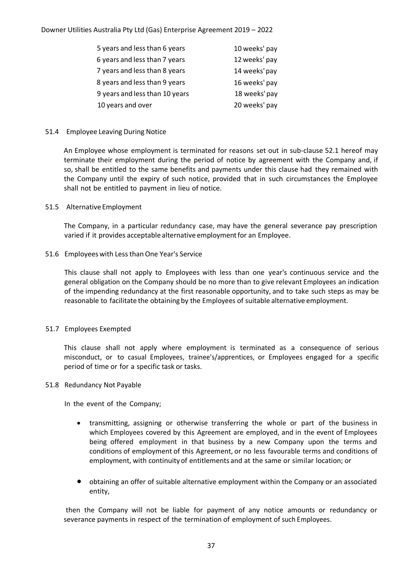| 5 years and less than 6 years  | 10 weeks' pay |
|--------------------------------|---------------|
| 6 years and less than 7 years  | 12 weeks' pay |
| 7 years and less than 8 years  | 14 weeks' pay |
| 8 years and less than 9 years  | 16 weeks' pay |
| 9 years and less than 10 years | 18 weeks' pay |
| 10 years and over              | 20 weeks' pay |

#### 51.4 Employee Leaving During Notice

An Employee whose employment is terminated for reasons set out in sub-clause 52.1 hereof may terminate their employment during the period of notice by agreement with the Company and, if so, shall be entitled to the same benefits and payments under this clause had they remained with the Company until the expiry of such notice, provided that in such circumstances the Employee shall not be entitled to payment in lieu of notice.

#### 51.5 Alternative Employment

The Company, in a particular redundancy case, may have the general severance pay prescription varied if it provides acceptable alternative employmentfor an Employee.

#### 51.6 Employeeswith Less than One Year's Service

This clause shall not apply to Employees with less than one year's continuous service and the general obligation on the Company should be no more than to give relevant Employees an indication of the impending redundancy at the first reasonable opportunity, and to take such steps as may be reasonable to facilitate the obtaining by the Employees of suitable alternative employment.

#### 51.7 Employees Exempted

This clause shall not apply where employment is terminated as a consequence of serious misconduct, or to casual Employees, trainee's/apprentices, or Employees engaged for a specific period of time or for a specific task or tasks.

#### 51.8 Redundancy Not Payable

In the event of the Company;

- transmitting, assigning or otherwise transferring the whole or part of the business in which Employees covered by this Agreement are employed, and in the event of Employees being offered employment in that business by a new Company upon the terms and conditions of employment of this Agreement, or no less favourable terms and conditions of employment, with continuity of entitlements and at the same or similar location; or
- obtaining an offer of suitable alternative employment within the Company or an associated entity,

then the Company will not be liable for payment of any notice amounts or redundancy or severance payments in respect of the termination of employment of such Employees.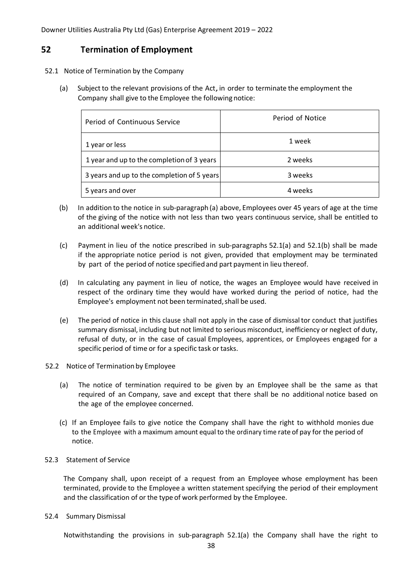### <span id="page-39-0"></span>**52 Termination of Employment**

- 52.1 Notice of Termination by the Company
	- (a) Subject to the relevant provisions of the Act, in order to terminate the employment the Company shall give to the Employee the following notice:

| Period of Continuous Service                | Period of Notice |  |
|---------------------------------------------|------------------|--|
| 1 year or less                              | 1 week           |  |
| 1 year and up to the completion of 3 years  | 2 weeks          |  |
| 3 years and up to the completion of 5 years | 3 weeks          |  |
| 5 years and over                            | 4 weeks          |  |

- (b) In addition to the notice in sub-paragraph (a) above, Employees over 45 years of age at the time of the giving of the notice with not less than two years continuous service, shall be entitled to an additional week's notice.
- (c) Payment in lieu of the notice prescribed in sub-paragraphs 52.1(a) and 52.1(b) shall be made if the appropriate notice period is not given, provided that employment may be terminated by part of the period of notice specified and part payment in lieu thereof.
- (d) In calculating any payment in lieu of notice, the wages an Employee would have received in respect of the ordinary time they would have worked during the period of notice, had the Employee's employment not been terminated,shall be used.
- (e) The period of notice in this clause shall not apply in the case of dismissal tor conduct that justifies summary dismissal, including but not limited to serious misconduct, inefficiency or neglect of duty, refusal of duty, or in the case of casual Employees, apprentices, or Employees engaged for a specific period of time or for a specific task or tasks.
- 52.2 Notice of Termination by Employee
	- (a) The notice of termination required to be given by an Employee shall be the same as that required of an Company, save and except that there shall be no additional notice based on the age of the employee concerned.
	- (c) If an Employee fails to give notice the Company shall have the right to withhold monies due to the Employee with a maximum amount equal to the ordinary time rate of pay for the period of notice.

#### 52.3 Statement of Service

The Company shall, upon receipt of a request from an Employee whose employment has been terminated, provide to the Employee a written statementspecifying the period of their employment and the classification of or the type of work performed by the Employee.

#### 52.4 Summary Dismissal

Notwithstanding the provisions in sub-paragraph 52.1(a) the Company shall have the right to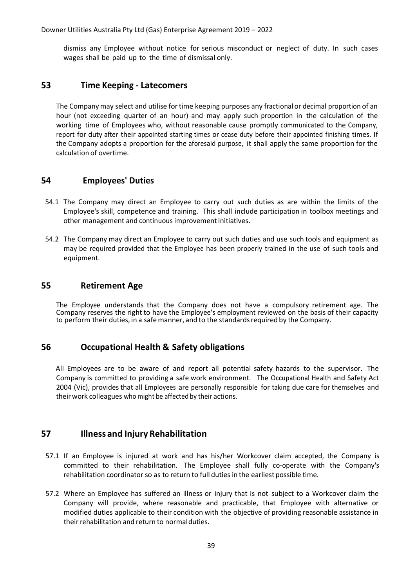dismiss any Employee without notice for serious misconduct or neglect of duty. In such cases wages shall be paid up to the time of dismissal only.

### <span id="page-40-0"></span>**53 Time Keeping - Latecomers**

The Company may select and utilise for time keeping purposes any fractional or decimal proportion of an hour (not exceeding quarter of an hour) and may apply such proportion in the calculation of the working time of Employees who, without reasonable cause promptly communicated to the Company, report for duty after their appointed starting times or cease duty before their appointed finishing times. If the Company adopts a proportion for the aforesaid purpose, it shall apply the same proportion for the calculation of overtime.

### <span id="page-40-1"></span>**54 Employees' Duties**

- 54.1 The Company may direct an Employee to carry out such duties as are within the limits of the Employee's skill, competence and training. This shall include participation in toolbox meetings and other management and continuous improvementinitiatives.
- 54.2 The Company may direct an Employee to carry out such duties and use such tools and equipment as may be required provided that the Employee has been properly trained in the use of such tools and equipment.

### <span id="page-40-2"></span>**55 Retirement Age**

The Employee understands that the Company does not have a compulsory retirement age. The Company reserves the right to have the Employee's employment reviewed on the basis of their capacity to perform their duties, in a safemanner, and to the standardsrequired by the Company.

### <span id="page-40-3"></span>**56 Occupational Health & Safety obligations**

All Employees are to be aware of and report all potential safety hazards to the supervisor. The Company is committed to providing a safe work environment. The Occupational Health and Safety Act 2004 (Vic), provides that all Employees are personally responsible for taking due care for themselves and their work colleagues who might be affected by their actions.

### <span id="page-40-4"></span>**57 Illness and Injury Rehabilitation**

- 57.1 If an Employee is injured at work and has his/her Workcover claim accepted, the Company is committed to their rehabilitation. The Employee shall fully co-operate with the Company's rehabilitation coordinator so as to return to full duties in the earliest possible time.
- 57.2 Where an Employee has suffered an illness or injury that is not subject to a Workcover claim the Company will provide, where reasonable and practicable, that Employee with alternative or modified duties applicable to their condition with the objective of providing reasonable assistance in their rehabilitation and return to normalduties.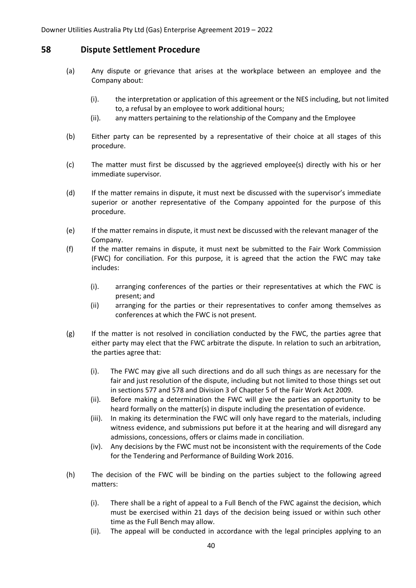### <span id="page-41-0"></span>**58 Dispute Settlement Procedure**

- (a) Any dispute or grievance that arises at the workplace between an employee and the Company about:
	- (i). the interpretation or application of this agreement or the NES including, but not limited to, a refusal by an employee to work additional hours;
	- (ii). any matters pertaining to the relationship of the Company and the Employee
- (b) Either party can be represented by a representative of their choice at all stages of this procedure.
- (c) The matter must first be discussed by the aggrieved employee(s) directly with his or her immediate supervisor.
- (d) If the matter remains in dispute, it must next be discussed with the supervisor's immediate superior or another representative of the Company appointed for the purpose of this procedure.
- (e) If the matter remains in dispute, it must next be discussed with the relevant manager of the Company.
- (f) If the matter remains in dispute, it must next be submitted to the Fair Work Commission (FWC) for conciliation. For this purpose, it is agreed that the action the FWC may take includes:
	- (i). arranging conferences of the parties or their representatives at which the FWC is present; and
	- (ii) arranging for the parties or their representatives to confer among themselves as conferences at which the FWC is not present.
- $(g)$  If the matter is not resolved in conciliation conducted by the FWC, the parties agree that either party may elect that the FWC arbitrate the dispute. In relation to such an arbitration, the parties agree that:
	- (i). The FWC may give all such directions and do all such things as are necessary for the fair and just resolution of the dispute, including but not limited to those things set out in sections 577 and 578 and Division 3 of Chapter 5 of the Fair Work Act 2009.
	- (ii). Before making a determination the FWC will give the parties an opportunity to be heard formally on the matter(s) in dispute including the presentation of evidence.
	- (iii). In making its determination the FWC will only have regard to the materials, including witness evidence, and submissions put before it at the hearing and will disregard any admissions, concessions, offers or claims made in conciliation.
	- (iv). Any decisions by the FWC must not be inconsistent with the requirements of the Code for the Tendering and Performance of Building Work 2016.
- (h) The decision of the FWC will be binding on the parties subject to the following agreed matters:
	- (i). There shall be a right of appeal to a Full Bench of the FWC against the decision, which must be exercised within 21 days of the decision being issued or within such other time as the Full Bench may allow.
	- (ii). The appeal will be conducted in accordance with the legal principles applying to an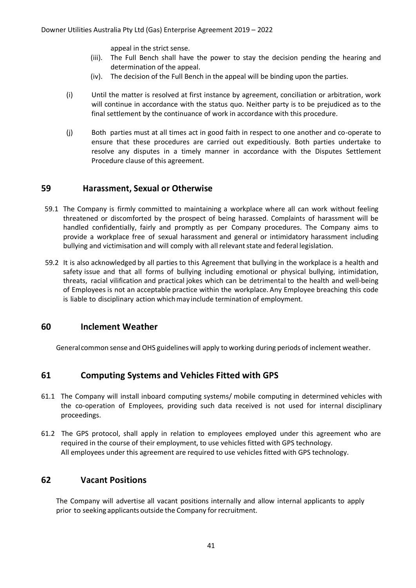appeal in the strict sense.

- (iii). The Full Bench shall have the power to stay the decision pending the hearing and determination of the appeal.
- (iv). The decision of the Full Bench in the appeal will be binding upon the parties.
- (i) Until the matter is resolved at first instance by agreement, conciliation or arbitration, work will continue in accordance with the status quo. Neither party is to be prejudiced as to the final settlement by the continuance of work in accordance with this procedure.
- <span id="page-42-0"></span>(j) Both parties must at all times act in good faith in respect to one another and co-operate to ensure that these procedures are carried out expeditiously. Both parties undertake to resolve any disputes in a timely manner in accordance with the Disputes Settlement Procedure clause of this agreement.

### **59 Harassment, Sexual or Otherwise**

- 59.1 The Company is firmly committed to maintaining a workplace where all can work without feeling threatened or discomforted by the prospect of being harassed. Complaints of harassment will be handled confidentially, fairly and promptly as per Company procedures. The Company aims to provide a workplace free of sexual harassment and general or intimidatory harassment including bullying and victimisation and will comply with all relevantstate and federal legislation.
- 59.2 It is also acknowledged by all parties to this Agreement that bullying in the workplace is a health and safety issue and that all forms of bullying including emotional or physical bullying, intimidation, threats, racial vilification and practical jokes which can be detrimental to the health and well-being of Employees is not an acceptable practice within the workplace. Any Employee breaching this code is liable to disciplinary action which may include termination of employment.

### <span id="page-42-1"></span>**60 Inclement Weather**

<span id="page-42-2"></span>General common sense and OHS guidelines will apply to working during periods of inclement weather.

### **61 Computing Systems and Vehicles Fitted with GPS**

- 61.1 The Company will install inboard computing systems/ mobile computing in determined vehicles with the co-operation of Employees, providing such data received is not used for internal disciplinary proceedings.
- 61.2 The GPS protocol, shall apply in relation to employees employed under this agreement who are required in the course of their employment, to use vehicles fitted with GPS technology. All employees under this agreement are required to use vehicles fitted with GPS technology.

### <span id="page-42-3"></span>**62 Vacant Positions**

The Company will advertise all vacant positions internally and allow internal applicants to apply prior to seeking applicants outside the Company for recruitment.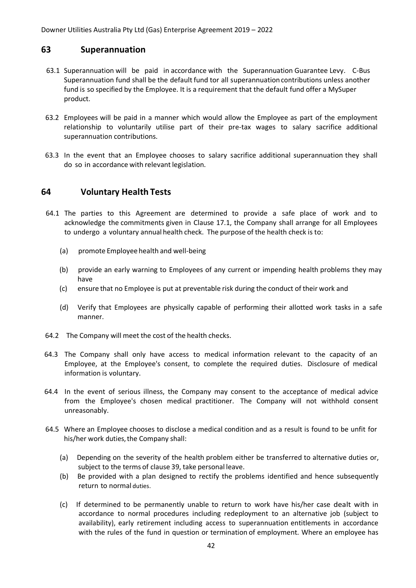### <span id="page-43-0"></span>**63 Superannuation**

- 63.1 Superannuation will be paid in accordance with the Superannuation Guarantee Levy. C-Bus Superannuation fund shall be the default fund tor all superannuationcontributions unless another fund is so specified by the Employee. It is a requirement that the default fund offer a MySuper product.
- 63.2 Employees will be paid in a manner which would allow the Employee as part of the employment relationship to voluntarily utilise part of their pre-tax wages to salary sacrifice additional superannuation contributions.
- 63.3 In the event that an Employee chooses to salary sacrifice additional superannuation they shall do so in accordance with relevant legislation.

### <span id="page-43-1"></span>**64 Voluntary Health Tests**

- 64.1 The parties to this Agreement are determined to provide a safe place of work and to acknowledge the commitments given in Clause 17.1, the Company shall arrange for all Employees to undergo a voluntary annual health check. The purpose of the health check is to:
	- (a) promote Employee health and well-being
	- (b) provide an early warning to Employees of any current or impending health problems they may have
	- (c) ensure that no Employee is put at preventable risk during the conduct of their work and
	- (d) Verify that Employees are physically capable of performing their allotted work tasks in a safe manner.
- 64.2 The Company will meet the cost of the health checks.
- 64.3 The Company shall only have access to medical information relevant to the capacity of an Employee, at the Employee's consent, to complete the required duties. Disclosure of medical information is voluntary.
- 64.4 In the event of serious illness, the Company may consent to the acceptance of medical advice from the Employee's chosen medical practitioner. The Company will not withhold consent unreasonably.
- 64.5 Where an Employee chooses to disclose a medical condition and as a result is found to be unfit for his/her work duties, the Company shall:
	- (a) Depending on the severity of the health problem either be transferred to alternative duties or, subject to the terms of clause 39, take personal leave.
	- (b) Be provided with a plan designed to rectify the problems identified and hence subsequently return to normal duties.
	- (c) If determined to be permanently unable to return to work have his/her case dealt with in accordance to normal procedures including redeployment to an alternative job (subject to availability), early retirement including access to superannuation entitlements in accordance with the rules of the fund in question or termination of employment. Where an employee has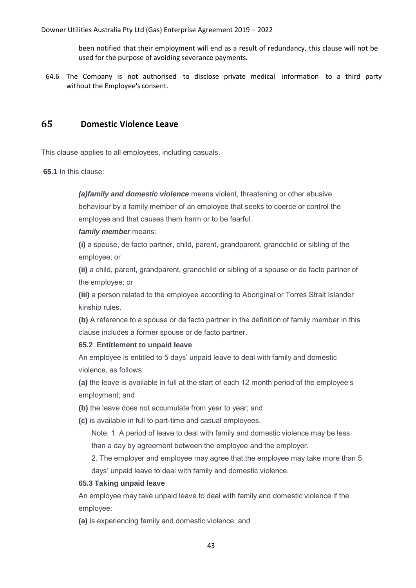been notified that their employment will end as a result of redundancy, this clause will not be used for the purpose of avoiding severance payments.

64.6 The Company is not authorised to disclose private medical information to a third party without the Employee's consent.

### <span id="page-44-0"></span>**65 Domestic Violence Leave**

This clause applies to all employees, including casuals.

**65.1** In this clause:

*(a)family and domestic violence* means violent, threatening or other abusive behaviour by a family member of an employee that seeks to coerce or control the employee and that causes them harm or to be fearful.

*family member* means:

**(i)** a spouse, de facto partner, child, parent, grandparent, grandchild or sibling of the employee; or

**(ii)** a child, parent, grandparent, grandchild or sibling of a spouse or de facto partner of the employee; or

**(iii)** a person related to the employee according to Aboriginal or Torres Strait Islander kinship rules.

**(b)** A reference to a spouse or de facto partner in the definition of family member in this clause includes a former spouse or de facto partner.

#### **65.2 Entitlement to unpaid leave**

An employee is entitled to 5 days' unpaid leave to deal with family and domestic violence, as follows:

**(a)** the leave is available in full at the start of each 12 month period of the employee's employment; and

**(b)** the leave does not accumulate from year to year; and

**(c)** is available in full to part-time and casual employees.

Note: 1. A period of leave to deal with family and domestic violence may be less than a day by agreement between the employee and the employer.

2. The employer and employee may agree that the employee may take more than 5 days' unpaid leave to deal with family and domestic violence.

#### **65.3 Taking unpaid leave**

An employee may take unpaid leave to deal with family and domestic violence if the employee:

**(a)** is experiencing family and domestic violence; and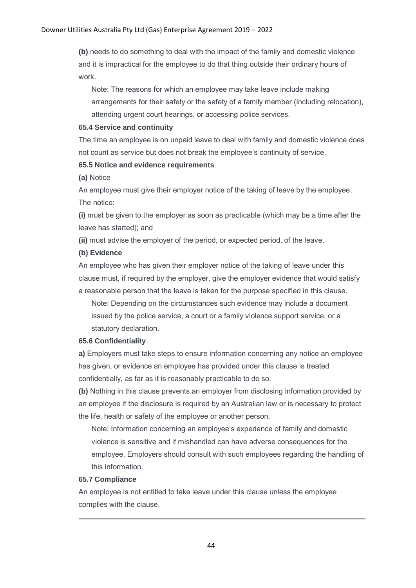**(b)** needs to do something to deal with the impact of the family and domestic violence and it is impractical for the employee to do that thing outside their ordinary hours of work.

Note: The reasons for which an employee may take leave include making arrangements for their safety or the safety of a family member (including relocation), attending urgent court hearings, or accessing police services.

#### **65.4 Service and continuity**

The time an employee is on unpaid leave to deal with family and domestic violence does not count as service but does not break the employee's continuity of service.

#### **65.5 Notice and evidence requirements**

**(a)** Notice

An employee must give their employer notice of the taking of leave by the employee. The notice:

**(i)** must be given to the employer as soon as practicable (which may be a time after the leave has started); and

**(ii)** must advise the employer of the period, or expected period, of the leave.

#### **(b) Evidence**

An employee who has given their employer notice of the taking of leave under this clause must, if required by the employer, give the employer evidence that would satisfy a reasonable person that the leave is taken for the purpose specified in this clause.

Note: Depending on the circumstances such evidence may include a document issued by the police service, a court or a family violence support service, or a statutory declaration.

#### **65.6 Confidentiality**

**a)** Employers must take steps to ensure information concerning any notice an employee has given, or evidence an employee has provided under this clause is treated confidentially, as far as it is reasonably practicable to do so.

**(b)** Nothing in this clause prevents an employer from disclosing information provided by an employee if the disclosure is required by an Australian law or is necessary to protect the life, health or safety of the employee or another person.

Note: Information concerning an employee's experience of family and domestic violence is sensitive and if mishandled can have adverse consequences for the employee. Employers should consult with such employees regarding the handling of this information.

#### **65.7 Compliance**

An employee is not entitled to take leave under this clause unless the employee complies with the clause.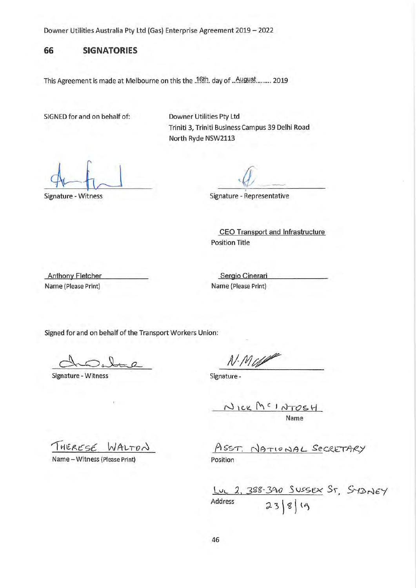### **66 SIGNATORIES**

This Agreement is made at Melbourne on this the .16th. day of .. August ........ 2019

SIGNED for and on behalf of:

Downer Utilities Pty Ltd Triniti 3, Triniti Business Campus 39 Delhi Road North Ryde NSW2113

Signature - Witness

 $4/2$ 

Signature - Representative

CEO Transport and Infrastructure Position Title

**Anthony Fletcher** Name (Please Print)

Sergio Cinerari Name (Please Print)

Signed for and on behalf of the Transport Workers Union:

Signature - Witness

N.MU

Signature -

NICK MCINTOSH Name

 $T$ <sup>HERESE</sup> WALTON

Name-Witness (Please Print)

ASST. NATIONAL SECRETARY Position

lvL. *1,* .3gg. 3~ *S* V>'SEX Sr-, *5'··--f:J>r~£'f*  Address  $2388$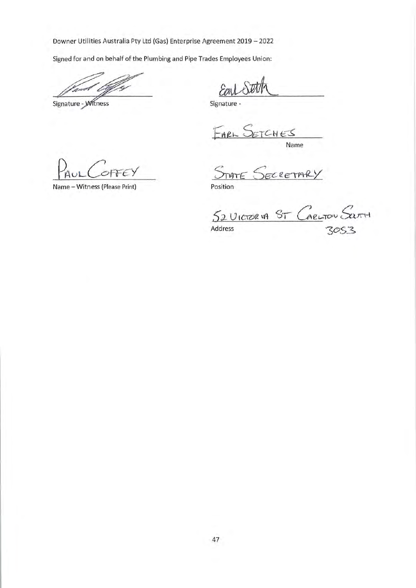Sighed for and on behalf of the Plumbing and Pipe Trades Employees Union:

Signature - Witness

 $\mathcal{E}_{0}$ 

Signature

EARL SETCHE

Name

FFE

Name - Witness (Please Print) Position

 $S_{TATE}$  $ECEETARY$ 

52 UICTOR VA ST CARLTON SCRITH

 $3053$ 

Address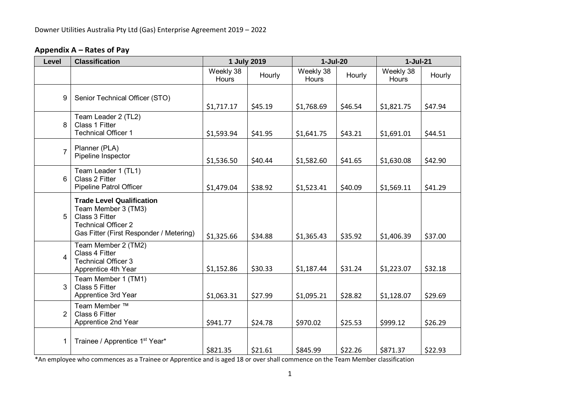### **Appendix A – Rates of Pay**

| Level          | <b>Classification</b>                                                                                                                              |                    | 1 July 2019 | $1-Jul-20$         |         | $1-Jul-21$         |         |
|----------------|----------------------------------------------------------------------------------------------------------------------------------------------------|--------------------|-------------|--------------------|---------|--------------------|---------|
|                |                                                                                                                                                    | Weekly 38<br>Hours | Hourly      | Weekly 38<br>Hours | Hourly  | Weekly 38<br>Hours | Hourly  |
| 9              | Senior Technical Officer (STO)                                                                                                                     | \$1,717.17         | \$45.19     | \$1,768.69         | \$46.54 | \$1,821.75         | \$47.94 |
| 8              | Team Leader 2 (TL2)<br>Class 1 Fitter<br><b>Technical Officer 1</b>                                                                                | \$1,593.94         | \$41.95     | \$1,641.75         | \$43.21 | \$1,691.01         | \$44.51 |
| $\overline{7}$ | Planner (PLA)<br>Pipeline Inspector                                                                                                                | \$1,536.50         | \$40.44     | \$1,582.60         | \$41.65 | \$1,630.08         | \$42.90 |
| 6              | Team Leader 1 (TL1)<br>Class 2 Fitter<br>Pipeline Patrol Officer                                                                                   | \$1,479.04         | \$38.92     | \$1,523.41         | \$40.09 | \$1,569.11         | \$41.29 |
| 5 <sup>5</sup> | <b>Trade Level Qualification</b><br>Team Member 3 (TM3)<br>Class 3 Fitter<br><b>Technical Officer 2</b><br>Gas Fitter (First Responder / Metering) | \$1,325.66         | \$34.88     | \$1,365.43         | \$35.92 | \$1,406.39         | \$37.00 |
| 4              | Team Member 2 (TM2)<br>Class 4 Fitter<br><b>Technical Officer 3</b><br>Apprentice 4th Year                                                         | \$1,152.86         | \$30.33     | \$1,187.44         | \$31.24 | \$1,223.07         | \$32.18 |
| 3              | Team Member 1 (TM1)<br>Class 5 Fitter<br>Apprentice 3rd Year                                                                                       | \$1,063.31         | \$27.99     | \$1,095.21         | \$28.82 | \$1,128.07         | \$29.69 |
| 2 <sup>1</sup> | Team Member ™<br>Class 6 Fitter<br>Apprentice 2nd Year                                                                                             | \$941.77           | \$24.78     | \$970.02           | \$25.53 | \$999.12           | \$26.29 |
| 1              | Trainee / Apprentice 1 <sup>st</sup> Year*                                                                                                         | \$821.35           | \$21.61     | \$845.99           | \$22.26 | \$871.37           | \$22.93 |

<span id="page-49-0"></span>\*An employee who commences as a Trainee or Apprentice and is aged 18 or over shall commence on the Team Member classification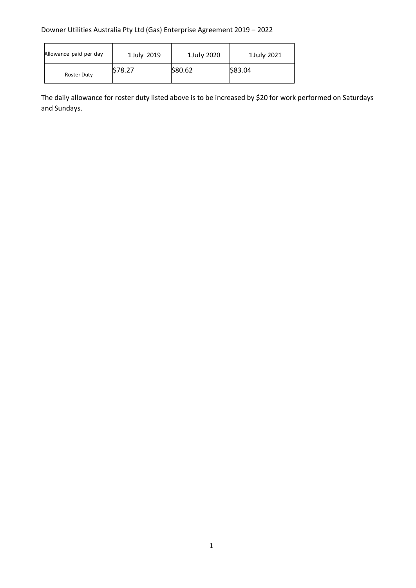| Allowance paid per day | 1 July 2019 | 1July 2020 | 1July 2021 |
|------------------------|-------------|------------|------------|
| Roster Duty            | \$78.27     | \$80.62    | \$83.04    |

The daily allowance for roster duty listed above is to be increased by \$20 for work performed on Saturdays and Sundays.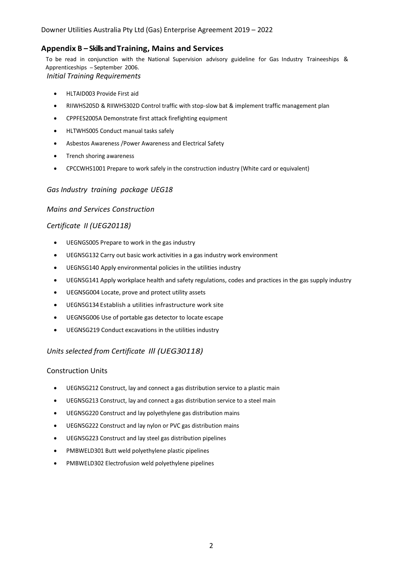#### <span id="page-51-0"></span>**Appendix B – Skills and Training, Mains and Services**

To be read in conjunction with the National Supervision advisory guideline for Gas Industry Traineeships & Apprenticeships - September 2006. *Initial Training Requirements*

- HLTAID003 Provide First aid
- RIIWHS205D & RIIWHS302D Control traffic with stop-slow bat & implement traffic management plan
- CPPFES2005A Demonstrate first attack firefighting equipment
- HLTWHS005 Conduct manual tasks safely
- Asbestos Awareness /Power Awareness and Electrical Safety
- Trench shoring awareness
- CPCCWHS1001 Prepare to work safely in the construction industry (White card or equivalent)

#### *Gas Industry training package UEG18*

#### *Mains and Services Construction*

#### *Certificate II (UEG20118)*

- UEGNGS005 Prepare to work in the gas industry
- UEGNSG132 Carry out basic work activities in a gas industry work environment
- UEGNSG140 Apply environmental policies in the utilities industry
- UEGNSG141 Apply workplace health and safety regulations, codes and practices in the gas supply industry
- UEGNSG004 Locate, prove and protect utility assets
- UEGNSG134 Establish a utilities infrastructure work site
- UEGNSG006 Use of portable gas detector to locate escape
- UEGNSG219 Conduct excavations in the utilities industry

#### *Units selected from Certificate Ill (UEG30118)*

#### Construction Units

- UEGNSG212 Construct, lay and connect a gas distribution service to a plastic main
- UEGNSG213 Construct, lay and connect a gas distribution service to a steel main
- UEGNSG220 Construct and lay polyethylene gas distribution mains
- UEGNSG222 Construct and lay nylon or PVC gas distribution mains
- UEGNSG223 Construct and lay steel gas distribution pipelines
- PMBWELD301 Butt weld polyethylene plastic pipelines
- PMBWELD302 Electrofusion weld polyethylene pipelines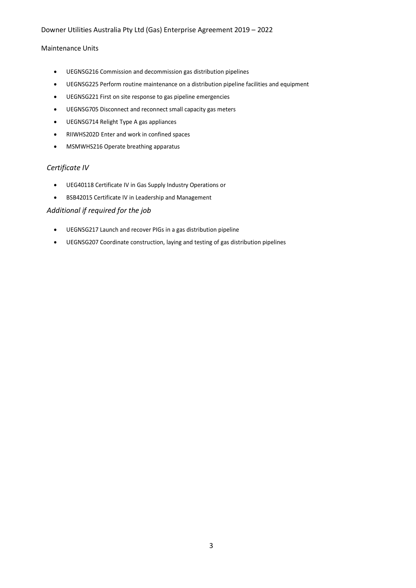#### Maintenance Units

- UEGNSG216 Commission and decommission gas distribution pipelines
- UEGNSG225 Perform routine maintenance on a distribution pipeline facilities and equipment
- UEGNSG221 First on site response to gas pipeline emergencies
- UEGNSG705 Disconnect and reconnect small capacity gas meters
- UEGNSG714 Relight Type A gas appliances
- RIIWHS202D Enter and work in confined spaces
- MSMWHS216 Operate breathing apparatus

#### *Certificate IV*

- UEG40118 Certificate IV in Gas Supply Industry Operations or
- BSB42015 Certificate IV in Leadership and Management

#### *Additional if required for the job*

- UEGNSG217 Launch and recover PIGs in a gas distribution pipeline
- UEGNSG207 Coordinate construction, laying and testing of gas distribution pipelines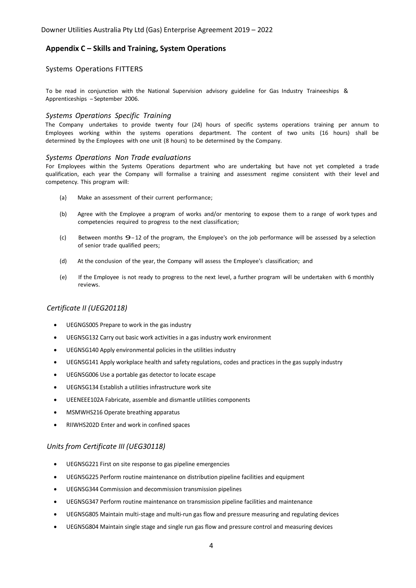#### <span id="page-53-0"></span>**Appendix C – Skills and Training, System Operations**

#### Systems Operations FITTERS

To be read in conjunction with the National Supervision advisory guideline for Gas Industry Traineeships & Apprenticeships - September 2006.

#### *Systems Operations Specific Training*

The Company undertakes to provide twenty four (24) hours of specific systems operations training per annum to Employees working within the systems operations department. The content of two units (16 hours) shall be determined by the Employees with one unit (8 hours) to be determined by the Company.

#### *Systems Operations Non Trade evaluations*

For Employees within the Systems Operations department who are undertaking but have not yet completed a trade qualification, each year the Company will formalise a training and assessment regime consistent with their level and competency. This program will:

- (a} Make an assessment of their current performance;
- (b) Agree with the Employee a program of works and/or mentoring to expose them to a range of work types and competencies required to progress to the next classification;
- (c) Between months 9-12 of the program, the Employee's on the job performance will be assessed by a selection of senior trade qualified peers;
- (d) At the conclusion of the year, the Company will assess the Employee's classification; and
- (e) If the Employee is not ready to progress to the next level, a further program will be undertaken with 6 monthly reviews.

#### *Certificate II (UEG20118)*

- UEGNGS005 Prepare to work in the gas industry
- UEGNSG132 Carry out basic work activities in a gas industry work environment
- UEGNSG140 Apply environmental policies in the utilities industry
- UEGNSG141 Apply workplace health and safety regulations, codes and practices in the gas supply industry
- UEGNSG006 Use a portable gas detector to locate escape
- UEGNSG134 Establish a utilities infrastructure work site
- UEENEEE102A Fabricate, assemble and dismantle utilities components
- MSMWHS216 Operate breathing apparatus
- RIIWHS202D Enter and work in confined spaces

#### *Units from Certificate III (UEG30118)*

- UEGNSG221 First on site response to gas pipeline emergencies
- UEGNSG225 Perform routine maintenance on distribution pipeline facilities and equipment
- UEGNSG344 Commission and decommission transmission pipelines
- UEGNSG347 Perform routine maintenance on transmission pipeline facilities and maintenance
- UEGNSG805 Maintain multi-stage and multi-run gas flow and pressure measuring and regulating devices
- UEGNSG804 Maintain single stage and single run gas flow and pressure control and measuring devices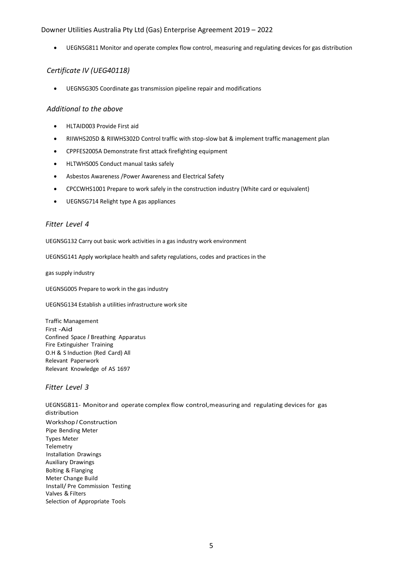• UEGNSG811 Monitor and operate complex flow control, measuring and regulating devices for gas distribution

#### *Certificate IV (UEG40118)*

• UEGNSG305 Coordinate gas transmission pipeline repair and modifications

#### *Additional to the above*

- HLTAID003 Provide First aid
- RIIWHS205D & RIIWHS302D Control traffic with stop-slow bat & implement traffic management plan
- CPPFES2005A Demonstrate first attack firefighting equipment
- HLTWHS005 Conduct manual tasks safely
- Asbestos Awareness /Power Awareness and Electrical Safety
- CPCCWHS1001 Prepare to work safely in the construction industry (White card or equivalent)
- UEGNSG714 Relight type A gas appliances

#### *Fitter Level 4*

UEGNSG132 Carry out basic work activities in a gas industry work environment

UEGNSG141 Apply workplace health and safety regulations, codes and practices in the

gas supply industry

UEGNSG005 Prepare to work in the gas industry

UEGNSG134 Establish a utilities infrastructure work site

Traffic Management First -Aid Confined Space *I* Breathing Apparatus Fire Extinguisher Training O.H & S Induction (Red Card) All Relevant Paperwork Relevant Knowledge of AS 1697

#### *Fitter Level 3*

UEGNSG811- Monitor and operate complex flow control,measuring and regulating devices for gas distribution Workshop *I* Construction Pipe Bending Meter Types Meter Telemetry Installation Drawings Auxiliary Drawings Bolting & Flanging Meter Change Build Install/ Pre Commission Testing Valves & Filters Selection of Appropriate Tools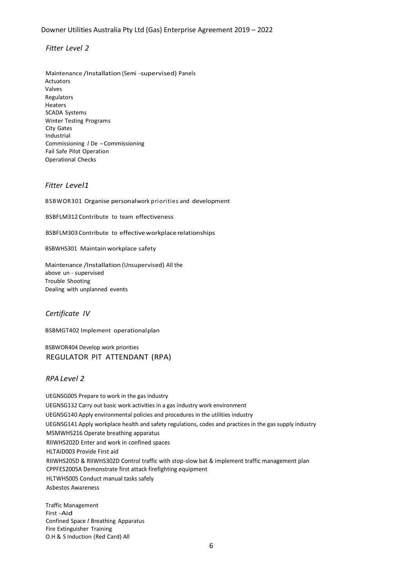#### *Fitter Level 2*

Maintenance /Installation (Semi -supervised) Panels Actuators Valves Regulators Heaters SCADA Systems Winter Testing Programs City Gates Industrial Commissioning *<sup>I</sup>* De -Commissioning Fail Safe Pilot Operation Operational Checks

#### *Fitter Level1*

BSBWOR301 Organise personalwork priorities and development

BSBFLM312 Contribute to team effectiveness

BSBFLM303Contribute to effectiveworkplacerelationships

BSBWHS301 Maintain workplace safety

Maintenance /Installation (Unsupervised) All the above un - supervised Trouble Shooting Dealing with unplanned events

#### *Certificate IV*

BSBMGT402 Implement operational plan

BSBWOR404 Develop work priorities REGULATOR PIT ATTENDANT (RPA)

#### *RPA Level 2*

UEGNSG005 Prepare to work in the gas industry UEGNSG132 Carry out basic work activities in a gas industry work environment UEGNSG140 Apply environmental policies and procedures in the utilities industry UEGNSG141 Apply workplace health and safety regulations, codes and practices in the gas supply industry MSMWHS216 Operate breathing apparatus RIIWHS202D Enter and work in confined spaces HLTAID003 Provide First aid RIIWHS205D & RIIWHS302D Control traffic with stop-slow bat & implement traffic management plan CPPFES2005A Demonstrate first attack firefighting equipment HLTWHS005 Conduct manual tasks safely Asbestos Awareness

Traffic Management First -Aid Confined Space *I* Breathing Apparatus Fire Extinguisher Training O.H & S Induction (Red Card) All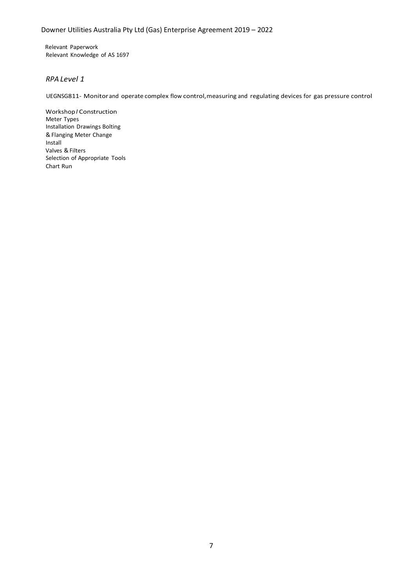Relevant Paperwork Relevant Knowledge of AS 1697

#### *RPA Level 1*

UEGNSG811- Monitorand operate complex flow control,measuring and regulating devices for gas pressure control

Workshop*I* Construction Meter Types Installation Drawings Bolting &Flanging Meter Change Install Valves & Filters Selection of Appropriate Tools Chart Run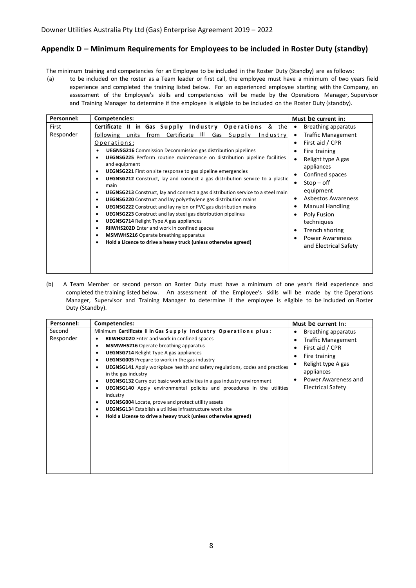#### <span id="page-57-0"></span>**Appendix D – Minimum Requirements for Employees to be included in Roster Duty (standby)**

The minimum training and competencies for an Employee to be included in the Roster Duty (Standby) are as follows:

(a) to be included on the roster as a Team leader or first call, the employee must have a minimum of two years field experience and completed the training listed below. For an experienced employee starting with the Company, an assessment of the Employee's skills and competencies will be made by the Operations Manager, Supervisor and Training Manager to determine if the employee is eligible to be included on the Roster Duty (standby).

| Personnel:         | Competencies:                                                                                                                                                                                                                                                                                                                                                                                                                                                                                                                                                                                                                                                                                                                                                                                                                                                                                                                                                                                                                                                                                                                         | Must be current in:                                                                                                                                                                                                                                                                                                           |
|--------------------|---------------------------------------------------------------------------------------------------------------------------------------------------------------------------------------------------------------------------------------------------------------------------------------------------------------------------------------------------------------------------------------------------------------------------------------------------------------------------------------------------------------------------------------------------------------------------------------------------------------------------------------------------------------------------------------------------------------------------------------------------------------------------------------------------------------------------------------------------------------------------------------------------------------------------------------------------------------------------------------------------------------------------------------------------------------------------------------------------------------------------------------|-------------------------------------------------------------------------------------------------------------------------------------------------------------------------------------------------------------------------------------------------------------------------------------------------------------------------------|
| First<br>Responder | Certificate II in Gas Supply Industry Operations & the<br>Certificate III<br>from<br>Gas Supply<br>following units<br>Industry<br>Operations:<br><b>UEGNSG216</b> Commission Decommission gas distribution pipelines<br>UEGNSG225 Perform routine maintenance on distribution pipeline facilities<br>and equipment<br><b>UEGNSG221</b> First on site response to gas pipeline emergencies<br>٠<br><b>UEGNSG212</b> Construct, lay and connect a gas distribution service to a plastic<br>$\bullet$<br>main<br><b>UEGNSG213</b> Construct, lay and connect a gas distribution service to a steel main<br>$\bullet$<br>UEGNSG220 Construct and lay polyethylene gas distribution mains<br>٠<br><b>UEGNSG222</b> Construct and lay nylon or PVC gas distribution mains<br>$\bullet$<br><b>UEGNSG223</b> Construct and lay steel gas distribution pipelines<br>$\bullet$<br><b>UEGNSG714 Relight Type A gas appliances</b><br>٠<br>RIIWHS202D Enter and work in confined spaces<br>$\bullet$<br><b>MSMWHS216</b> Operate breathing apparatus<br>$\bullet$<br>Hold a Licence to drive a heavy truck (unless otherwise agreed)<br>$\bullet$ | Breathing apparatus<br><b>Traffic Management</b><br>First aid / CPR<br>Fire training<br>Relight type A gas<br>appliances<br>Confined spaces<br>$Stop-off$<br>equipment<br>Asbestos Awareness<br>٠<br><b>Manual Handling</b><br>Poly Fusion<br>techniques<br>Trench shoring<br><b>Power Awareness</b><br>and Electrical Safety |

(b) A Team Member or second person on Roster Duty must have a minimum of one year's field experience and completed the training listed below. An assessment of the Employee's skills will be made by the Operations Manager, Supervisor and Training Manager to determine if the employee is eligible to be included on Roster Duty (Standby).

| Personnel:          | Competencies:                                                                                                                                                                                                                                                                                                                                                                                                                                                                                                                                                                                                                                                                                                                                                                 | Must be current In:                                                                                                                                                         |
|---------------------|-------------------------------------------------------------------------------------------------------------------------------------------------------------------------------------------------------------------------------------------------------------------------------------------------------------------------------------------------------------------------------------------------------------------------------------------------------------------------------------------------------------------------------------------------------------------------------------------------------------------------------------------------------------------------------------------------------------------------------------------------------------------------------|-----------------------------------------------------------------------------------------------------------------------------------------------------------------------------|
| Second<br>Responder | Minimum Certificate II in Gas Supply Industry Operations plus:<br>RIIWHS202D Enter and work in confined spaces<br><b>MSMWHS216</b> Operate breathing apparatus<br><b>UEGNSG714 Relight Type A gas appliances</b><br><b>UEGNSG005</b> Prepare to work in the gas industry<br><b>UEGNSG141</b> Apply workplace health and safety regulations, codes and practices<br>in the gas industry<br><b>UEGNSG132</b> Carry out basic work activities in a gas industry environment<br>٠<br><b>UEGNSG140</b> Apply environmental policies and procedures in the utilities<br>industry<br><b>UEGNSG004</b> Locate, prove and protect utility assets<br><b>UEGNSG134</b> Establish a utilities infrastructure work site<br>Hold a License to drive a heavy truck (unless otherwise agreed) | Breathing apparatus<br><b>Traffic Management</b><br>First aid / CPR<br>Fire training<br>Relight type A gas<br>appliances<br>Power Awareness and<br><b>Electrical Safety</b> |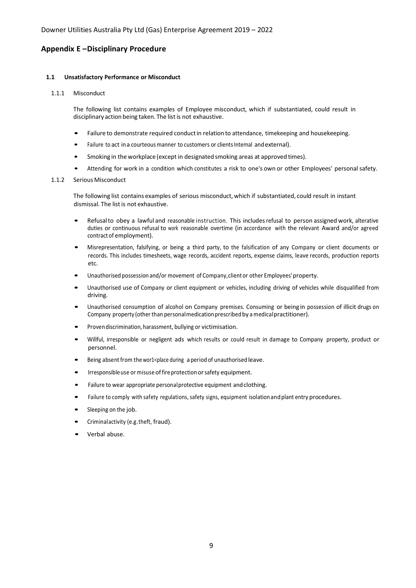#### <span id="page-58-0"></span>**Appendix E –Disciplinary Procedure**

#### **1.1 Unsatisfactory Performance or Misconduct**

#### 1.1.1 Misconduct

The following list contains examples of Employee misconduct, which if substantiated, could result in disciplinary action being taken. The list is not exhaustive.

- Failure to demonstrate required conduct in relation to attendance, timekeeping and housekeeping.
- Failure to act in a courteous manner to customers or clients Internal and external).
- Smoking in the workplace (except in designated smoking areas at approved times).
- Attending for work in a condition which constitutes a risk to one's own or other Employees' personal safety.

#### 1.1.2 Serious Misconduct

The following list contains examples of serious misconduct, which if substantiated, could result in instant dismissal. The list is not exhaustive.

- Refusalto obey <sup>a</sup> lawful and reasonable instruction. This includesrefusal to person assigned work, alterative duties or continuous refusal to work reasonable overtime (in accordance with the relevant Award and/or agreed contract of employment).
- Misrepresentation, falsifying, or being <sup>a</sup> third party, to the falsification of any Company or client documents or records. This includes timesheets, wage records, accident reports, expense claims, leave records, production reports etc.
- Unauthorised possession and/or movement of Company,client or other Employees'property.
- Unauthorised use of Company or client equipment or vehicles, including driving of vehicles while disqualified from driving.
- Unauthorised consumption of alcohol on Company premises. Consuming or being in possession of illicit drugs on Company property (other than personal medication prescribed by a medical practitioner).
- Provendiscrimination, harassment, bullying or victimisation.
- Willful, irresponsible or negligent ads which results or could result in damage to Company property, product or personnel.
- Being absent from the wor1<place during a period of unauthorised leave.
- Irresponsible use or misuse of fire protection or safety equipment.
- Failure to wear appropriate personal protective equipment and clothing.
- Failure to comply with safety regulations, safety signs, equipment isolation and plant entry procedures.
- Sleeping on the job.
- Criminalactivity (e.g.theft, fraud).
- Verbal abuse.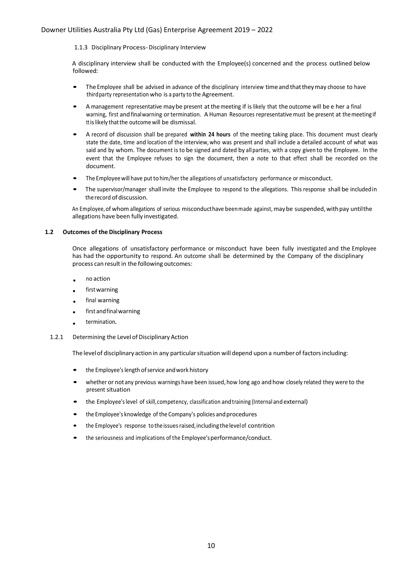1.1.3 Disciplinary Process-Disciplinary Interview

A disciplinary interview shall be conducted with the Employee(s) concerned and the process outlined below followed:

- The Employee shall be advised in advance of the disciplinary interview time and that they may choose to have thirdparty representation who is a party to the Agreement.
- <sup>A</sup> management representative maybe present atthemeeting if is likely that the outcome will be <sup>e</sup> her a final warning, first andfinalwarning ortermination. A Human Resources representative must be present at themeetingif ttislikely thatthe outcomewill be dismissal.
- <sup>A</sup> record of discussion shall be prepared **within 24 hours** of the meeting taking place. This document must clearly state the date, time and location of the interview,who was present and shall include a detailed account of what was said and by whom. The document isto be signed and dated by all parties, with a copy given to the Employee. In the event that the Employee refuses to sign the document, then a note to that effect shall be recorded on the document.
- The Employee will have put to him/her the allegations of unsatisfactory performance or misconduct.
- The supervisor/manager shall invite the Employee to respond to the allegations. This response shall be included in the record of discussion.

An Employee, of whom allegations of serious misconducthave been made against, may be suspended, with pay untilthe allegations have been fully investigated.

#### **1.2 Outcomes of the Disciplinary Process**

Once allegations of unsatisfactory performance or misconduct have been fully investigated and the Employee has had the opportunity to respond. An outcome shall be determined by the Company of the disciplinary process can result in the following outcomes:

- no action
- first warning
- final warning
- first and final warning
- termination.
- 1.2.1 Determining the Level of Disciplinary Action

The level of disciplinary action in any particular situation will depend upon a number of factors including:

- the Employee's length of service and work history
- whether or not any previous warnings have been issued, how long ago and how closely related they were to the present situation
- the Employee'slevel of skill,competency, classification andtraining (Internal and external)
- the Employee's knowledge of the Company's policies and procedures
- the Employee's response to theissuesraised,includingthelevelof contrition
- the seriousness and implications of the Employee'sperformance/conduct.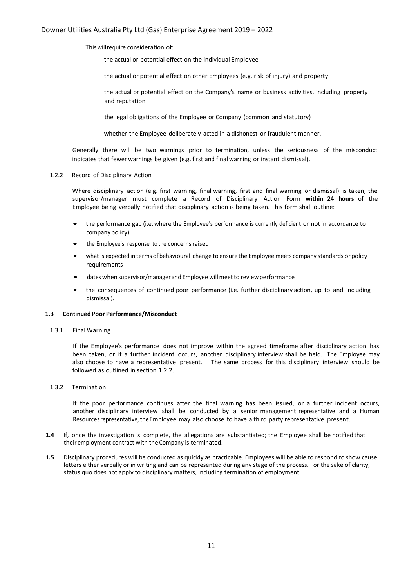Thiswillrequire consideration of:

the actual or potential effect on the individual Employee

the actual or potential effect on other Employees (e.g. risk of injury) and property

the actual or potential effect on the Company's name or business activities, including property and reputation

the legal obligations of the Employee or Company (common and statutory)

whether the Employee deliberately acted in a dishonest or fraudulent manner.

Generally there will be two warnings prior to termination, unless the seriousness of the misconduct indicates that fewer warnings be given (e.g. first and final warning or instant dismissal).

#### 1.2.2 Record of Disciplinary Action

Where disciplinary action (e.g. first warning, final warning, first and final warning or dismissal) is taken, the supervisor/manager must complete a Record of Disciplinary Action Form **within 24 hours** of the Employee being verbally notified that disciplinary action is being taken. This form shall outline:

- the performance gap (i.e. where the Employee's performance is currently deficient or not in accordance to company policy)
- the Employee's response to the concernsraised
- what is expected in terms of behavioural change to ensure the Employee meets company standards or policy requirements
- dates when supervisor/manager and Employee will meet to review performance
- the consequences of continued poor performance (i.e. further disciplinary action, up to and including dismissal).

#### **1.3 Continued Poor Performance/Misconduct**

1.3.1 Final Warning

If the Employee's performance does not improve within the agreed timeframe after disciplinary action has been taken, or if a further incident occurs, another disciplinary interview shall be held. The Employee may also choose to have a representative present. The same process for this disciplinary interview should be followed as outlined in section 1.2.2.

#### 1.3.2 Termination

If the poor performance continues after the final warning has been issued, or a further incident occurs, another disciplinary interview shall be conducted by a senior management representative and a Human Resources representative, the Employee may also choose to have a third party representative present.

- **1.4** If, once the investigation is complete, the allegations are substantiated; the Employee shall be notifiedthat their employment contract with the Company is terminated.
- **1.5** Disciplinary procedures will be conducted as quickly as practicable. Employees will be able to respond to show cause letters either verbally or in writing and can be represented during any stage of the process. For the sake of clarity, status quo does not apply to disciplinary matters, including termination of employment.